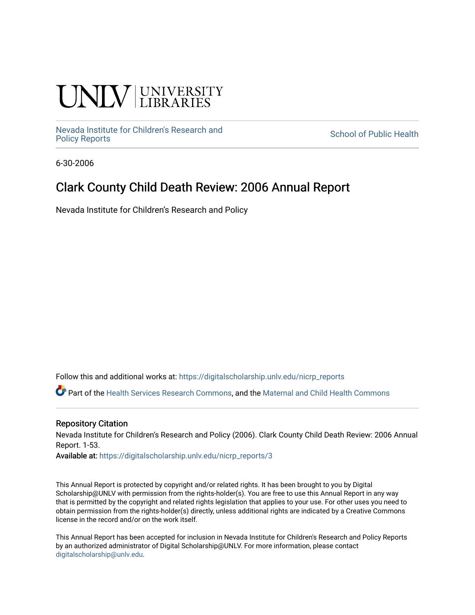# **INIVERSITY**

[Nevada Institute for Children's Research and](https://digitalscholarship.unlv.edu/nicrp_reports)

**School of Public Health** 

6-30-2006

### Clark County Child Death Review: 2006 Annual Report

Nevada Institute for Children's Research and Policy

Follow this and additional works at: [https://digitalscholarship.unlv.edu/nicrp\\_reports](https://digitalscholarship.unlv.edu/nicrp_reports?utm_source=digitalscholarship.unlv.edu%2Fnicrp_reports%2F3&utm_medium=PDF&utm_campaign=PDFCoverPages)

Part of the [Health Services Research Commons,](http://network.bepress.com/hgg/discipline/816?utm_source=digitalscholarship.unlv.edu%2Fnicrp_reports%2F3&utm_medium=PDF&utm_campaign=PDFCoverPages) and the [Maternal and Child Health Commons](http://network.bepress.com/hgg/discipline/745?utm_source=digitalscholarship.unlv.edu%2Fnicrp_reports%2F3&utm_medium=PDF&utm_campaign=PDFCoverPages) 

#### Repository Citation

Nevada Institute for Children's Research and Policy (2006). Clark County Child Death Review: 2006 Annual Report. 1-53.

Available at: [https://digitalscholarship.unlv.edu/nicrp\\_reports/3](https://digitalscholarship.unlv.edu/nicrp_reports/3)

This Annual Report is protected by copyright and/or related rights. It has been brought to you by Digital Scholarship@UNLV with permission from the rights-holder(s). You are free to use this Annual Report in any way that is permitted by the copyright and related rights legislation that applies to your use. For other uses you need to obtain permission from the rights-holder(s) directly, unless additional rights are indicated by a Creative Commons license in the record and/or on the work itself.

This Annual Report has been accepted for inclusion in Nevada Institute for Children's Research and Policy Reports by an authorized administrator of Digital Scholarship@UNLV. For more information, please contact [digitalscholarship@unlv.edu](mailto:digitalscholarship@unlv.edu).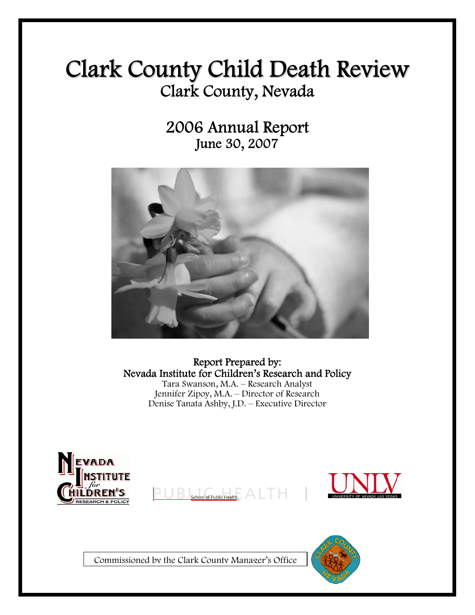# Clark County Child Death Review Clark County, Nevada

2006 Annual Report June 30, 2007



Report Prepared by: Nevada Institute for Children's Research and Policy Tara Swanson, M.A. – Research Analyst Jennifer Zipoy, M.A. – Director of Research Denise Tanata Ashby, J.D. – Executive Director





Commissioned by the Clark County Manager's Office

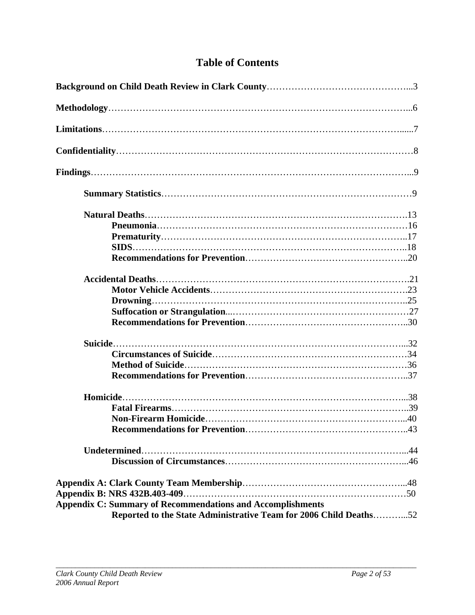### **Table of Contents**

| <b>Appendix C: Summary of Recommendations and Accomplishments</b><br>Reported to the State Administrative Team for 2006 Child Deaths52 |
|----------------------------------------------------------------------------------------------------------------------------------------|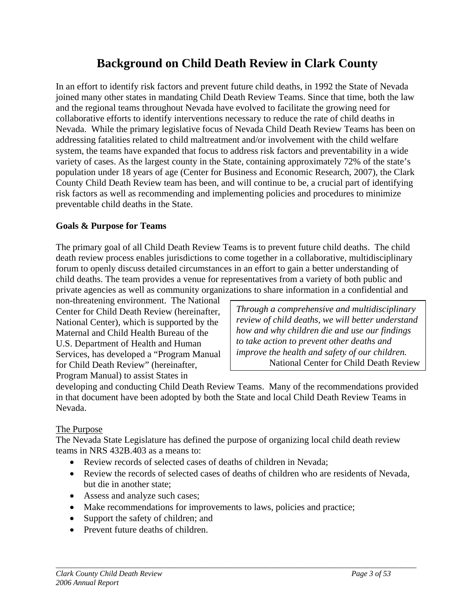## **Background on Child Death Review in Clark County**

In an effort to identify risk factors and prevent future child deaths, in 1992 the State of Nevada joined many other states in mandating Child Death Review Teams. Since that time, both the law and the regional teams throughout Nevada have evolved to facilitate the growing need for collaborative efforts to identify interventions necessary to reduce the rate of child deaths in Nevada. While the primary legislative focus of Nevada Child Death Review Teams has been on addressing fatalities related to child maltreatment and/or involvement with the child welfare system, the teams have expanded that focus to address risk factors and preventability in a wide variety of cases. As the largest county in the State, containing approximately 72% of the state's population under 18 years of age (Center for Business and Economic Research, 2007), the Clark County Child Death Review team has been, and will continue to be, a crucial part of identifying risk factors as well as recommending and implementing policies and procedures to minimize preventable child deaths in the State.

### **Goals & Purpose for Teams**

The primary goal of all Child Death Review Teams is to prevent future child deaths. The child death review process enables jurisdictions to come together in a collaborative, multidisciplinary forum to openly discuss detailed circumstances in an effort to gain a better understanding of child deaths. The team provides a venue for representatives from a variety of both public and private agencies as well as community organizations to share information in a confidential and

non-threatening environment. The National Center for Child Death Review (hereinafter, National Center), which is supported by the Maternal and Child Health Bureau of the U.S. Department of Health and Human Services, has developed a "Program Manual for Child Death Review" (hereinafter, Program Manual) to assist States in

*Through a comprehensive and multidisciplinary review of child deaths, we will better understand how and why children die and use our findings to take action to prevent other deaths and improve the health and safety of our children.*  National Center for Child Death Review

developing and conducting Child Death Review Teams. Many of the recommendations provided in that document have been adopted by both the State and local Child Death Review Teams in Nevada.

#### The Purpose

The Nevada State Legislature has defined the purpose of organizing local child death review teams in NRS 432B.403 as a means to:

- Review records of selected cases of deaths of children in Nevada:
- Review the records of selected cases of deaths of children who are residents of Nevada, but die in another state;

- Assess and analyze such cases;
- Make recommendations for improvements to laws, policies and practice;
- Support the safety of children; and
- Prevent future deaths of children.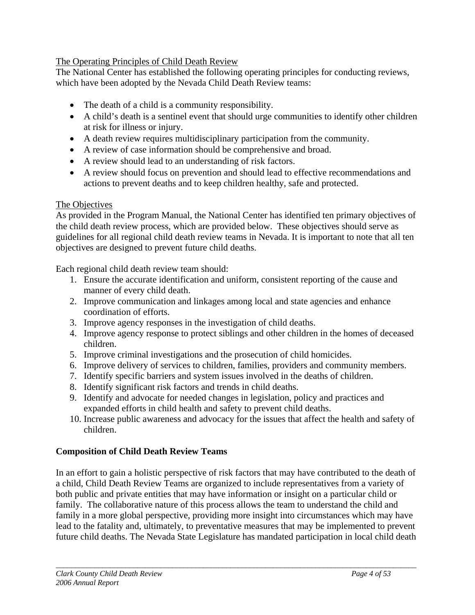### The Operating Principles of Child Death Review

The National Center has established the following operating principles for conducting reviews, which have been adopted by the Nevada Child Death Review teams:

- The death of a child is a community responsibility.
- A child's death is a sentinel event that should urge communities to identify other children at risk for illness or injury.
- A death review requires multidisciplinary participation from the community.
- A review of case information should be comprehensive and broad.
- A review should lead to an understanding of risk factors.
- A review should focus on prevention and should lead to effective recommendations and actions to prevent deaths and to keep children healthy, safe and protected.

### The Objectives

As provided in the Program Manual, the National Center has identified ten primary objectives of the child death review process, which are provided below. These objectives should serve as guidelines for all regional child death review teams in Nevada. It is important to note that all ten objectives are designed to prevent future child deaths.

Each regional child death review team should:

- 1. Ensure the accurate identification and uniform, consistent reporting of the cause and manner of every child death.
- 2. Improve communication and linkages among local and state agencies and enhance coordination of efforts.
- 3. Improve agency responses in the investigation of child deaths.
- 4. Improve agency response to protect siblings and other children in the homes of deceased children.
- 5. Improve criminal investigations and the prosecution of child homicides.
- 6. Improve delivery of services to children, families, providers and community members.
- 7. Identify specific barriers and system issues involved in the deaths of children.
- 8. Identify significant risk factors and trends in child deaths.
- 9. Identify and advocate for needed changes in legislation, policy and practices and expanded efforts in child health and safety to prevent child deaths.
- 10. Increase public awareness and advocacy for the issues that affect the health and safety of children.

### **Composition of Child Death Review Teams**

In an effort to gain a holistic perspective of risk factors that may have contributed to the death of a child, Child Death Review Teams are organized to include representatives from a variety of both public and private entities that may have information or insight on a particular child or family. The collaborative nature of this process allows the team to understand the child and family in a more global perspective, providing more insight into circumstances which may have lead to the fatality and, ultimately, to preventative measures that may be implemented to prevent future child deaths. The Nevada State Legislature has mandated participation in local child death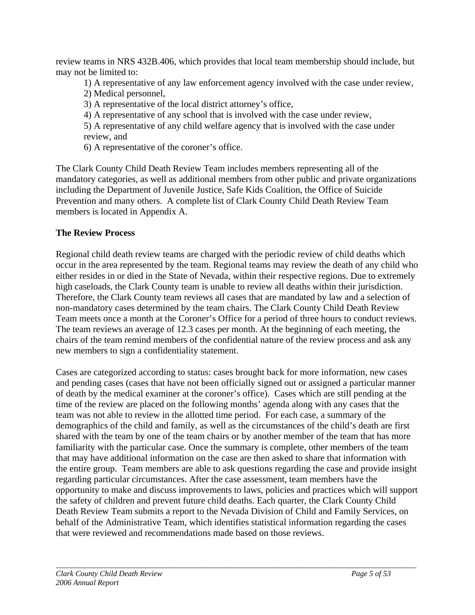review teams in NRS 432B.406, which provides that local team membership should include, but may not be limited to:

1) A representative of any law enforcement agency involved with the case under review,

- 2) Medical personnel,
- 3) A representative of the local district attorney's office,
- 4) A representative of any school that is involved with the case under review,
- 5) A representative of any child welfare agency that is involved with the case under review, and
- 6) A representative of the coroner's office.

The Clark County Child Death Review Team includes members representing all of the mandatory categories, as well as additional members from other public and private organizations including the Department of Juvenile Justice, Safe Kids Coalition, the Office of Suicide Prevention and many others. A complete list of Clark County Child Death Review Team members is located in Appendix A.

### **The Review Process**

Regional child death review teams are charged with the periodic review of child deaths which occur in the area represented by the team. Regional teams may review the death of any child who either resides in or died in the State of Nevada, within their respective regions. Due to extremely high caseloads, the Clark County team is unable to review all deaths within their jurisdiction. Therefore, the Clark County team reviews all cases that are mandated by law and a selection of non-mandatory cases determined by the team chairs. The Clark County Child Death Review Team meets once a month at the Coroner's Office for a period of three hours to conduct reviews. The team reviews an average of 12.3 cases per month. At the beginning of each meeting, the chairs of the team remind members of the confidential nature of the review process and ask any new members to sign a confidentiality statement.

Cases are categorized according to status: cases brought back for more information, new cases and pending cases (cases that have not been officially signed out or assigned a particular manner of death by the medical examiner at the coroner's office). Cases which are still pending at the time of the review are placed on the following months' agenda along with any cases that the team was not able to review in the allotted time period. For each case, a summary of the demographics of the child and family, as well as the circumstances of the child's death are first shared with the team by one of the team chairs or by another member of the team that has more familiarity with the particular case. Once the summary is complete, other members of the team that may have additional information on the case are then asked to share that information with the entire group. Team members are able to ask questions regarding the case and provide insight regarding particular circumstances. After the case assessment, team members have the opportunity to make and discuss improvements to laws, policies and practices which will support the safety of children and prevent future child deaths. Each quarter, the Clark County Child Death Review Team submits a report to the Nevada Division of Child and Family Services, on behalf of the Administrative Team, which identifies statistical information regarding the cases that were reviewed and recommendations made based on those reviews.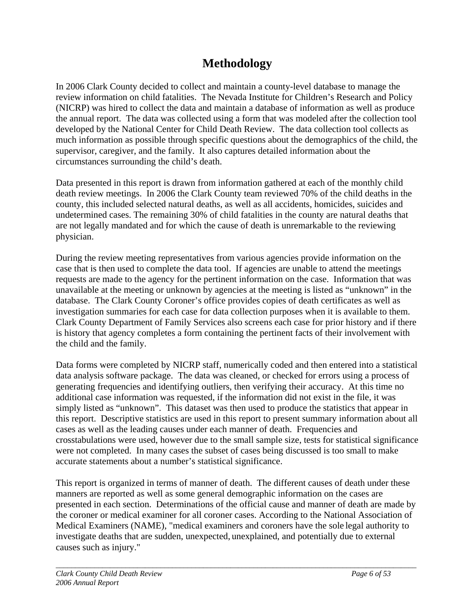## **Methodology**

In 2006 Clark County decided to collect and maintain a county-level database to manage the review information on child fatalities. The Nevada Institute for Children's Research and Policy (NICRP) was hired to collect the data and maintain a database of information as well as produce the annual report. The data was collected using a form that was modeled after the collection tool developed by the National Center for Child Death Review. The data collection tool collects as much information as possible through specific questions about the demographics of the child, the supervisor, caregiver, and the family. It also captures detailed information about the circumstances surrounding the child's death.

Data presented in this report is drawn from information gathered at each of the monthly child death review meetings. In 2006 the Clark County team reviewed 70% of the child deaths in the county, this included selected natural deaths, as well as all accidents, homicides, suicides and undetermined cases. The remaining 30% of child fatalities in the county are natural deaths that are not legally mandated and for which the cause of death is unremarkable to the reviewing physician.

During the review meeting representatives from various agencies provide information on the case that is then used to complete the data tool. If agencies are unable to attend the meetings requests are made to the agency for the pertinent information on the case. Information that was unavailable at the meeting or unknown by agencies at the meeting is listed as "unknown" in the database. The Clark County Coroner's office provides copies of death certificates as well as investigation summaries for each case for data collection purposes when it is available to them. Clark County Department of Family Services also screens each case for prior history and if there is history that agency completes a form containing the pertinent facts of their involvement with the child and the family.

Data forms were completed by NICRP staff, numerically coded and then entered into a statistical data analysis software package. The data was cleaned, or checked for errors using a process of generating frequencies and identifying outliers, then verifying their accuracy. At this time no additional case information was requested, if the information did not exist in the file, it was simply listed as "unknown". This dataset was then used to produce the statistics that appear in this report. Descriptive statistics are used in this report to present summary information about all cases as well as the leading causes under each manner of death. Frequencies and crosstabulations were used, however due to the small sample size, tests for statistical significance were not completed. In many cases the subset of cases being discussed is too small to make accurate statements about a number's statistical significance.

This report is organized in terms of manner of death. The different causes of death under these manners are reported as well as some general demographic information on the cases are presented in each section. Determinations of the official cause and manner of death are made by the coroner or medical examiner for all coroner cases. According to the National Association of Medical Examiners (NAME), "medical examiners and coroners have the sole legal authority to investigate deaths that are sudden, unexpected, unexplained, and potentially due to external causes such as injury."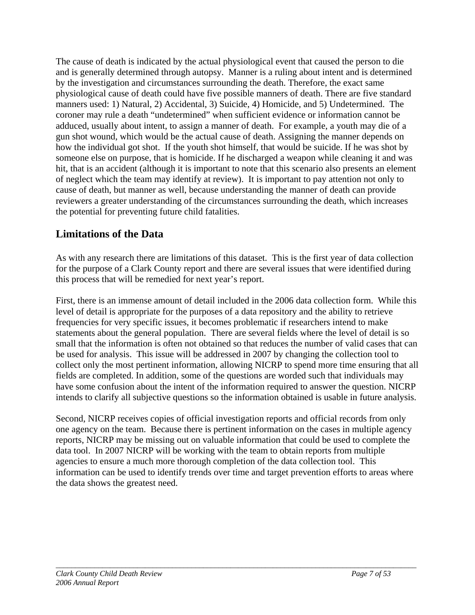The cause of death is indicated by the actual physiological event that caused the person to die and is generally determined through autopsy. Manner is a ruling about intent and is determined by the investigation and circumstances surrounding the death. Therefore, the exact same physiological cause of death could have five possible manners of death. There are five standard manners used: 1) Natural, 2) Accidental, 3) Suicide, 4) Homicide, and 5) Undetermined. The coroner may rule a death "undetermined" when sufficient evidence or information cannot be adduced, usually about intent, to assign a manner of death. For example, a youth may die of a gun shot wound, which would be the actual cause of death. Assigning the manner depends on how the individual got shot. If the youth shot himself, that would be suicide. If he was shot by someone else on purpose, that is homicide. If he discharged a weapon while cleaning it and was hit, that is an accident (although it is important to note that this scenario also presents an element of neglect which the team may identify at review). It is important to pay attention not only to cause of death, but manner as well, because understanding the manner of death can provide reviewers a greater understanding of the circumstances surrounding the death, which increases the potential for preventing future child fatalities.

### **Limitations of the Data**

As with any research there are limitations of this dataset. This is the first year of data collection for the purpose of a Clark County report and there are several issues that were identified during this process that will be remedied for next year's report.

First, there is an immense amount of detail included in the 2006 data collection form. While this level of detail is appropriate for the purposes of a data repository and the ability to retrieve frequencies for very specific issues, it becomes problematic if researchers intend to make statements about the general population. There are several fields where the level of detail is so small that the information is often not obtained so that reduces the number of valid cases that can be used for analysis. This issue will be addressed in 2007 by changing the collection tool to collect only the most pertinent information, allowing NICRP to spend more time ensuring that all fields are completed. In addition, some of the questions are worded such that individuals may have some confusion about the intent of the information required to answer the question. NICRP intends to clarify all subjective questions so the information obtained is usable in future analysis.

Second, NICRP receives copies of official investigation reports and official records from only one agency on the team. Because there is pertinent information on the cases in multiple agency reports, NICRP may be missing out on valuable information that could be used to complete the data tool. In 2007 NICRP will be working with the team to obtain reports from multiple agencies to ensure a much more thorough completion of the data collection tool. This information can be used to identify trends over time and target prevention efforts to areas where the data shows the greatest need.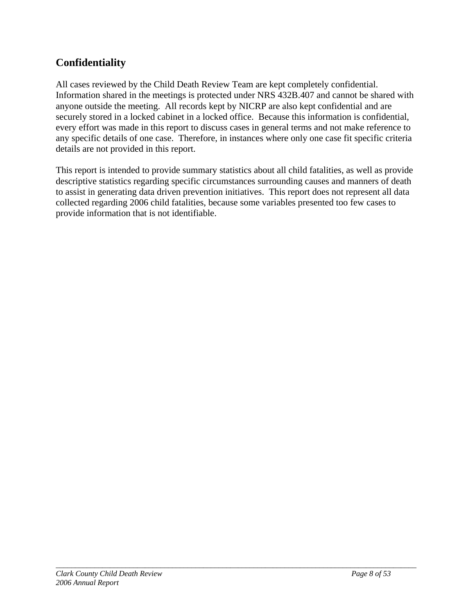### **Confidentiality**

All cases reviewed by the Child Death Review Team are kept completely confidential. Information shared in the meetings is protected under NRS 432B.407 and cannot be shared with anyone outside the meeting. All records kept by NICRP are also kept confidential and are securely stored in a locked cabinet in a locked office. Because this information is confidential, every effort was made in this report to discuss cases in general terms and not make reference to any specific details of one case. Therefore, in instances where only one case fit specific criteria details are not provided in this report.

This report is intended to provide summary statistics about all child fatalities, as well as provide descriptive statistics regarding specific circumstances surrounding causes and manners of death to assist in generating data driven prevention initiatives. This report does not represent all data collected regarding 2006 child fatalities, because some variables presented too few cases to provide information that is not identifiable.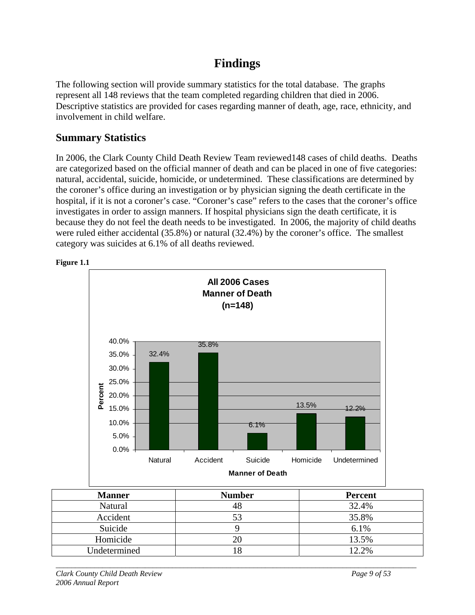# **Findings**

The following section will provide summary statistics for the total database. The graphs represent all 148 reviews that the team completed regarding children that died in 2006. Descriptive statistics are provided for cases regarding manner of death, age, race, ethnicity, and involvement in child welfare.

### **Summary Statistics**

In 2006, the Clark County Child Death Review Team reviewed148 cases of child deaths. Deaths are categorized based on the official manner of death and can be placed in one of five categories: natural, accidental, suicide, homicide, or undetermined. These classifications are determined by the coroner's office during an investigation or by physician signing the death certificate in the hospital, if it is not a coroner's case. "Coroner's case" refers to the cases that the coroner's office investigates in order to assign manners. If hospital physicians sign the death certificate, it is because they do not feel the death needs to be investigated. In 2006, the majority of child deaths were ruled either accidental (35.8%) or natural (32.4%) by the coroner's office. The smallest category was suicides at 6.1% of all deaths reviewed.





| <b>Manner</b> | <b>Number</b> | <b>Percent</b> |
|---------------|---------------|----------------|
| Natural       | 48            | 32.4%          |
| Accident      |               | 35.8%          |
| Suicide       |               | 6.1%           |
| Homicide      |               | 13.5%          |
| Undetermined  |               | 12.2%          |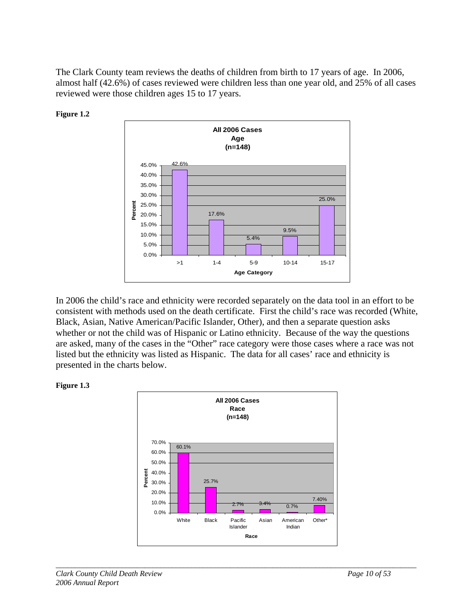The Clark County team reviews the deaths of children from birth to 17 years of age. In 2006, almost half (42.6%) of cases reviewed were children less than one year old, and 25% of all cases reviewed were those children ages 15 to 17 years.





In 2006 the child's race and ethnicity were recorded separately on the data tool in an effort to be consistent with methods used on the death certificate. First the child's race was recorded (White, Black, Asian, Native American/Pacific Islander, Other), and then a separate question asks whether or not the child was of Hispanic or Latino ethnicity. Because of the way the questions are asked, many of the cases in the "Other" race category were those cases where a race was not listed but the ethnicity was listed as Hispanic. The data for all cases' race and ethnicity is presented in the charts below.



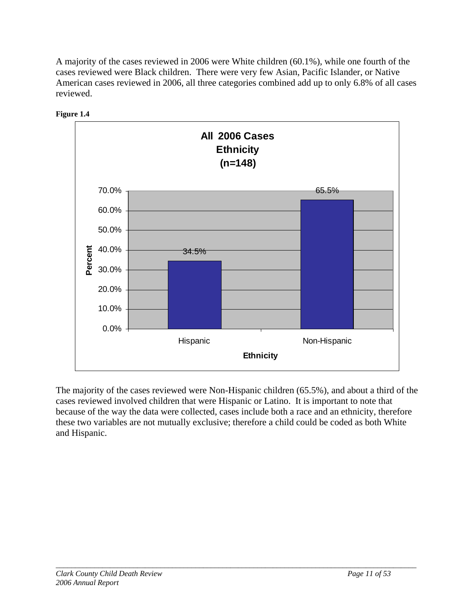A majority of the cases reviewed in 2006 were White children (60.1%), while one fourth of the cases reviewed were Black children. There were very few Asian, Pacific Islander, or Native American cases reviewed in 2006, all three categories combined add up to only 6.8% of all cases reviewed.





The majority of the cases reviewed were Non-Hispanic children (65.5%), and about a third of the cases reviewed involved children that were Hispanic or Latino. It is important to note that because of the way the data were collected, cases include both a race and an ethnicity, therefore these two variables are not mutually exclusive; therefore a child could be coded as both White and Hispanic.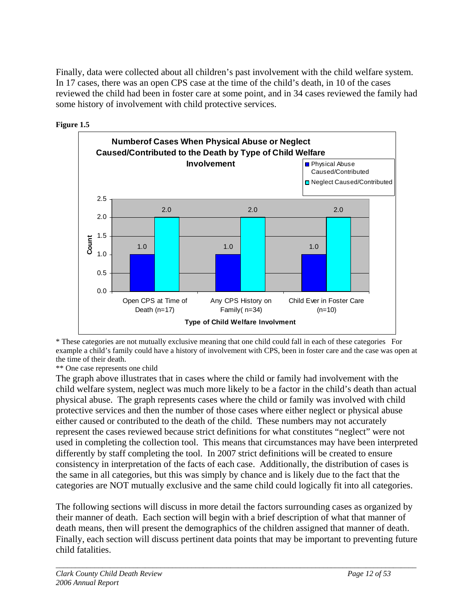Finally, data were collected about all children's past involvement with the child welfare system. In 17 cases, there was an open CPS case at the time of the child's death, in 10 of the cases reviewed the child had been in foster care at some point, and in 34 cases reviewed the family had some history of involvement with child protective services.





<sup>\*</sup> These categories are not mutually exclusive meaning that one child could fall in each of these categories For example a child's family could have a history of involvement with CPS, been in foster care and the case was open at the time of their death.

\*\* One case represents one child

The graph above illustrates that in cases where the child or family had involvement with the child welfare system, neglect was much more likely to be a factor in the child's death than actual physical abuse. The graph represents cases where the child or family was involved with child protective services and then the number of those cases where either neglect or physical abuse either caused or contributed to the death of the child. These numbers may not accurately represent the cases reviewed because strict definitions for what constitutes "neglect" were not used in completing the collection tool. This means that circumstances may have been interpreted differently by staff completing the tool. In 2007 strict definitions will be created to ensure consistency in interpretation of the facts of each case. Additionally, the distribution of cases is the same in all categories, but this was simply by chance and is likely due to the fact that the categories are NOT mutually exclusive and the same child could logically fit into all categories.

The following sections will discuss in more detail the factors surrounding cases as organized by their manner of death. Each section will begin with a brief description of what that manner of death means, then will present the demographics of the children assigned that manner of death. Finally, each section will discuss pertinent data points that may be important to preventing future child fatalities.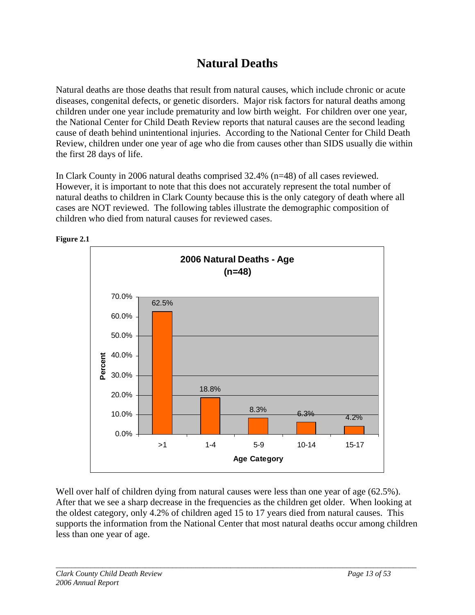# **Natural Deaths**

Natural deaths are those deaths that result from natural causes, which include chronic or acute diseases, congenital defects, or genetic disorders. Major risk factors for natural deaths among children under one year include prematurity and low birth weight. For children over one year, the National Center for Child Death Review reports that natural causes are the second leading cause of death behind unintentional injuries. According to the National Center for Child Death Review, children under one year of age who die from causes other than SIDS usually die within the first 28 days of life.

In Clark County in 2006 natural deaths comprised 32.4% (n=48) of all cases reviewed. However, it is important to note that this does not accurately represent the total number of natural deaths to children in Clark County because this is the only category of death where all cases are NOT reviewed. The following tables illustrate the demographic composition of children who died from natural causes for reviewed cases.



Well over half of children dying from natural causes were less than one year of age (62.5%). After that we see a sharp decrease in the frequencies as the children get older. When looking at the oldest category, only 4.2% of children aged 15 to 17 years died from natural causes. This supports the information from the National Center that most natural deaths occur among children less than one year of age.

**Figure 2.1**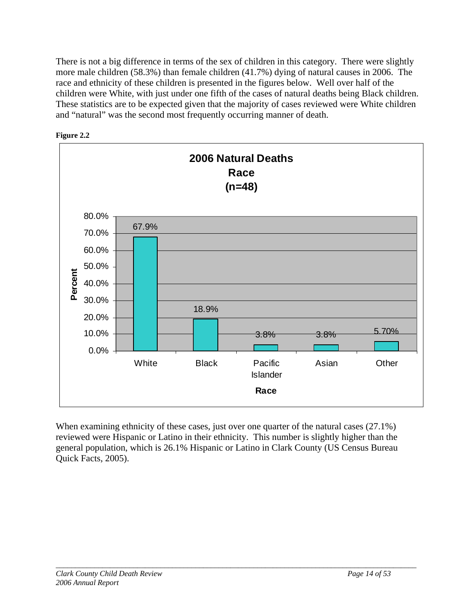There is not a big difference in terms of the sex of children in this category. There were slightly more male children (58.3%) than female children (41.7%) dying of natural causes in 2006. The race and ethnicity of these children is presented in the figures below. Well over half of the children were White, with just under one fifth of the cases of natural deaths being Black children. These statistics are to be expected given that the majority of cases reviewed were White children and "natural" was the second most frequently occurring manner of death.





When examining ethnicity of these cases, just over one quarter of the natural cases (27.1%) reviewed were Hispanic or Latino in their ethnicity. This number is slightly higher than the general population, which is 26.1% Hispanic or Latino in Clark County (US Census Bureau Quick Facts, 2005).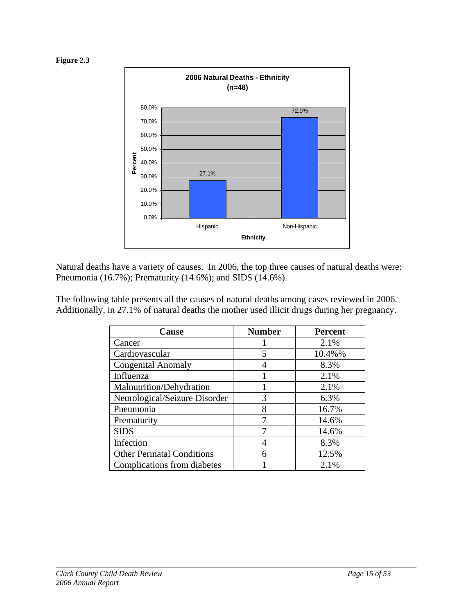



Natural deaths have a variety of causes. In 2006, the top three causes of natural deaths were: Pneumonia (16.7%); Prematurity (14.6%); and SIDS (14.6%).

| The following table presents all the causes of natural deaths among cases reviewed in 2006.  |  |
|----------------------------------------------------------------------------------------------|--|
| Additionally, in 27.1% of natural deaths the mother used illicit drugs during her pregnancy. |  |

| Cause                             | <b>Number</b> | <b>Percent</b> |
|-----------------------------------|---------------|----------------|
| Cancer                            |               | 2.1%           |
| Cardiovascular                    | 5             | 10.4%%         |
| <b>Congenital Anomaly</b>         |               | 8.3%           |
| Influenza                         |               | 2.1%           |
| Malnutrition/Dehydration          |               | 2.1%           |
| Neurological/Seizure Disorder     | 3             | 6.3%           |
| Pneumonia                         | 8             | 16.7%          |
| Prematurity                       | 7             | 14.6%          |
| <b>SIDS</b>                       |               | 14.6%          |
| Infection                         |               | 8.3%           |
| <b>Other Perinatal Conditions</b> | 6             | 12.5%          |
| Complications from diabetes       |               | 2.1%           |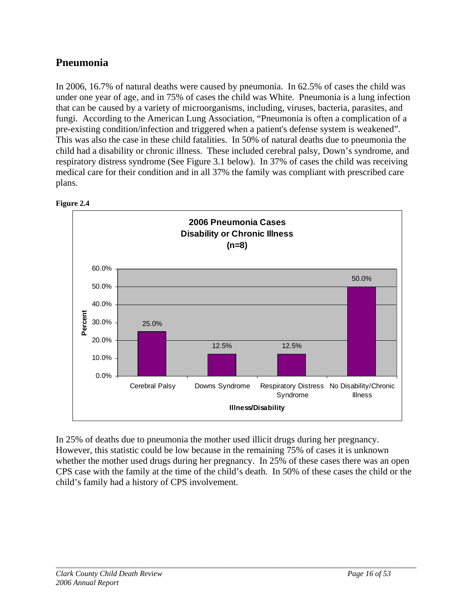### **Pneumonia**

In 2006, 16.7% of natural deaths were caused by pneumonia. In 62.5% of cases the child was under one year of age, and in 75% of cases the child was White. Pneumonia is a lung infection that can be caused by a variety of microorganisms, including, viruses, bacteria, parasites, and fungi. According to the American Lung Association, "Pneumonia is often a complication of a pre-existing condition/infection and triggered when a patient's defense system is weakened". This was also the case in these child fatalities. In 50% of natural deaths due to pneumonia the child had a disability or chronic illness. These included cerebral palsy, Down's syndrome, and respiratory distress syndrome (See Figure 3.1 below). In 37% of cases the child was receiving medical care for their condition and in all 37% the family was compliant with prescribed care plans.





In 25% of deaths due to pneumonia the mother used illicit drugs during her pregnancy. However, this statistic could be low because in the remaining 75% of cases it is unknown whether the mother used drugs during her pregnancy. In 25% of these cases there was an open CPS case with the family at the time of the child's death. In 50% of these cases the child or the child's family had a history of CPS involvement.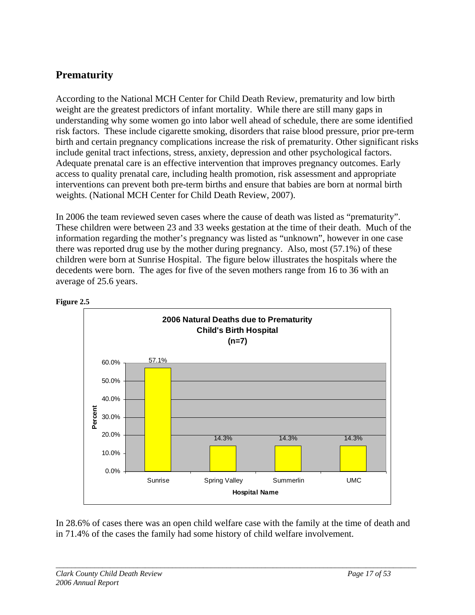### **Prematurity**

According to the National MCH Center for Child Death Review, prematurity and low birth weight are the greatest predictors of infant mortality. While there are still many gaps in understanding why some women go into labor well ahead of schedule, there are some identified risk factors. These include cigarette smoking, disorders that raise blood pressure, prior pre-term birth and certain pregnancy complications increase the risk of prematurity. Other significant risks include genital tract infections, stress, anxiety, depression and other psychological factors. Adequate prenatal care is an effective intervention that improves pregnancy outcomes. Early access to quality prenatal care, including health promotion, risk assessment and appropriate interventions can prevent both pre-term births and ensure that babies are born at normal birth weights. (National MCH Center for Child Death Review, 2007).

In 2006 the team reviewed seven cases where the cause of death was listed as "prematurity". These children were between 23 and 33 weeks gestation at the time of their death. Much of the information regarding the mother's pregnancy was listed as "unknown", however in one case there was reported drug use by the mother during pregnancy. Also, most (57.1%) of these children were born at Sunrise Hospital. The figure below illustrates the hospitals where the decedents were born. The ages for five of the seven mothers range from 16 to 36 with an average of 25.6 years.



**Figure 2.5** 

In 28.6% of cases there was an open child welfare case with the family at the time of death and in 71.4% of the cases the family had some history of child welfare involvement.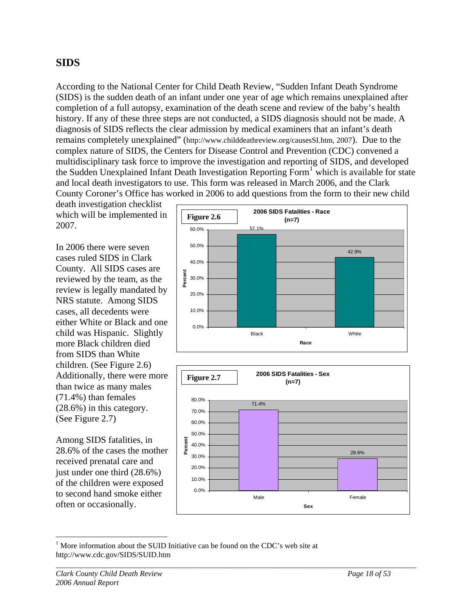### **SIDS**

According to the National Center for Child Death Review, "Sudden Infant Death Syndrome (SIDS) is the sudden death of an infant under one year of age which remains unexplained after completion of a full autopsy, examination of the death scene and review of the baby's health history. If any of these three steps are not conducted, a SIDS diagnosis should not be made. A diagnosis of SIDS reflects the clear admission by medical examiners that an infant's death remains completely unexplained" (http://www.childdeathreview.org/causesSI.htm, 2007). Due to the complex nature of SIDS, the Centers for Disease Control and Prevention (CDC) convened a multidisciplinary task force to improve the investigation and reporting of SIDS, and developed the Sudden Unexplained Infant Death Investigation Reporting Form<sup>[1](#page-18-0)</sup> which is available for state and local death investigators to use. This form was released in March 2006, and the Clark County Coroner's Office has worked in 2006 to add questions from the form to their new child

death investigation checklist which will be implemented in 2007.

In 2006 there were seven cases ruled SIDS in Clark County. All SIDS cases are reviewed by the team, as the review is legally mandated by NRS statute. Among SIDS cases, all decedents were either White or Black and one child was Hispanic. Slightly more Black children died from SIDS than White children. (See Figure 2.6) Additionally, there were more than twice as many males (71.4%) than females (28.6%) in this category. (See Figure 2.7)

Among SIDS fatalities, in 28.6% of the cases the mother received prenatal care and just under one third (28.6%) of the children were exposed to second hand smoke either often or occasionally.





<span id="page-18-0"></span> $\overline{a}$ <sup>1</sup> More information about the SUID Initiative can be found on the CDC's web site at http://www.cdc.gov/SIDS/SUID.htm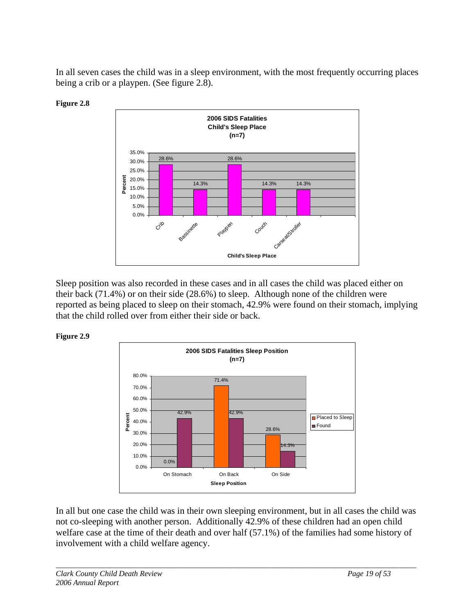In all seven cases the child was in a sleep environment, with the most frequently occurring places being a crib or a playpen. (See figure 2.8).



**Figure 2.8** 

Sleep position was also recorded in these cases and in all cases the child was placed either on their back (71.4%) or on their side (28.6%) to sleep. Although none of the children were reported as being placed to sleep on their stomach, 42.9% were found on their stomach, implying that the child rolled over from either their side or back.





In all but one case the child was in their own sleeping environment, but in all cases the child was not co-sleeping with another person. Additionally 42.9% of these children had an open child welfare case at the time of their death and over half (57.1%) of the families had some history of involvement with a child welfare agency.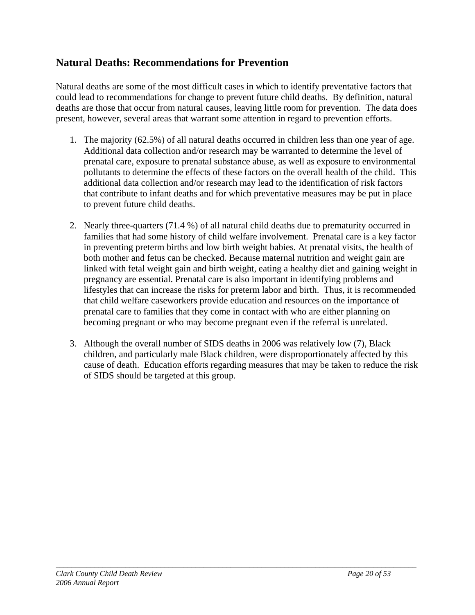### **Natural Deaths: Recommendations for Prevention**

Natural deaths are some of the most difficult cases in which to identify preventative factors that could lead to recommendations for change to prevent future child deaths. By definition, natural deaths are those that occur from natural causes, leaving little room for prevention. The data does present, however, several areas that warrant some attention in regard to prevention efforts.

- 1. The majority (62.5%) of all natural deaths occurred in children less than one year of age. Additional data collection and/or research may be warranted to determine the level of prenatal care, exposure to prenatal substance abuse, as well as exposure to environmental pollutants to determine the effects of these factors on the overall health of the child. This additional data collection and/or research may lead to the identification of risk factors that contribute to infant deaths and for which preventative measures may be put in place to prevent future child deaths.
- 2. Nearly three-quarters (71.4 %) of all natural child deaths due to prematurity occurred in families that had some history of child welfare involvement. Prenatal care is a key factor in preventing preterm births and low birth weight babies. At prenatal visits, the health of both mother and fetus can be checked. Because maternal nutrition and weight gain are linked with fetal weight gain and birth weight, eating a healthy diet and gaining weight in pregnancy are essential. Prenatal care is also important in identifying problems and lifestyles that can increase the risks for preterm labor and birth. Thus, it is recommended that child welfare caseworkers provide education and resources on the importance of prenatal care to families that they come in contact with who are either planning on becoming pregnant or who may become pregnant even if the referral is unrelated.
- 3. Although the overall number of SIDS deaths in 2006 was relatively low (7), Black children, and particularly male Black children, were disproportionately affected by this cause of death. Education efforts regarding measures that may be taken to reduce the risk of SIDS should be targeted at this group.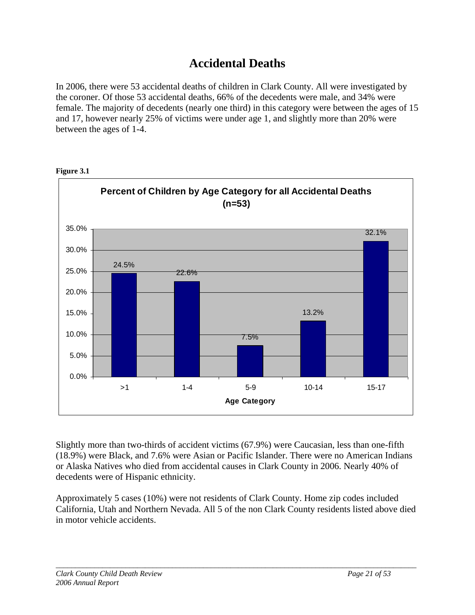# **Accidental Deaths**

In 2006, there were 53 accidental deaths of children in Clark County. All were investigated by the coroner. Of those 53 accidental deaths, 66% of the decedents were male, and 34% were female. The majority of decedents (nearly one third) in this category were between the ages of 15 and 17, however nearly 25% of victims were under age 1, and slightly more than 20% were between the ages of 1-4.



**Figure 3.1** 

Slightly more than two-thirds of accident victims (67.9%) were Caucasian, less than one-fifth (18.9%) were Black, and 7.6% were Asian or Pacific Islander. There were no American Indians or Alaska Natives who died from accidental causes in Clark County in 2006. Nearly 40% of decedents were of Hispanic ethnicity.

Approximately 5 cases (10%) were not residents of Clark County. Home zip codes included California, Utah and Northern Nevada. All 5 of the non Clark County residents listed above died in motor vehicle accidents.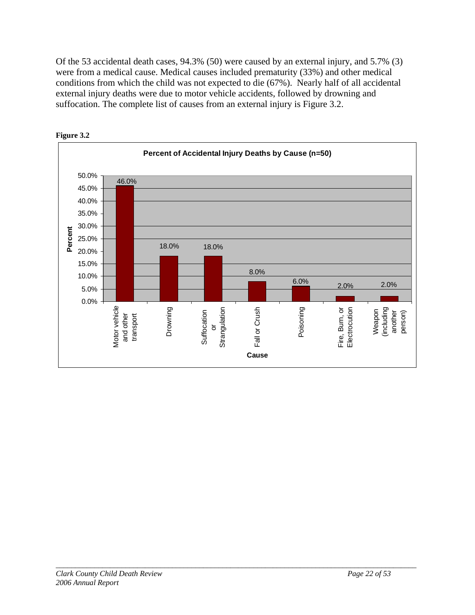Of the 53 accidental death cases, 94.3% (50) were caused by an external injury, and 5.7% (3) were from a medical cause. Medical causes included prematurity (33%) and other medical conditions from which the child was not expected to die (67%). Nearly half of all accidental external injury deaths were due to motor vehicle accidents, followed by drowning and suffocation. The complete list of causes from an external injury is Figure 3.2.



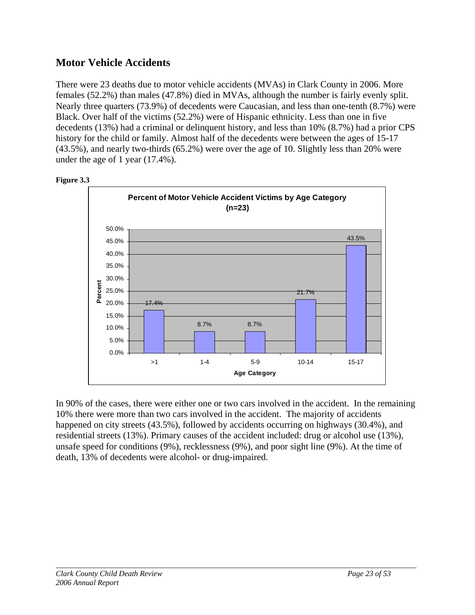### **Motor Vehicle Accidents**

There were 23 deaths due to motor vehicle accidents (MVAs) in Clark County in 2006. More females (52.2%) than males (47.8%) died in MVAs, although the number is fairly evenly split. Nearly three quarters (73.9%) of decedents were Caucasian, and less than one-tenth (8.7%) were Black. Over half of the victims (52.2%) were of Hispanic ethnicity. Less than one in five decedents (13%) had a criminal or delinquent history, and less than 10% (8.7%) had a prior CPS history for the child or family. Almost half of the decedents were between the ages of 15-17 (43.5%), and nearly two-thirds (65.2%) were over the age of 10. Slightly less than 20% were under the age of 1 year (17.4%).



**Figure 3.3** 

In 90% of the cases, there were either one or two cars involved in the accident. In the remaining 10% there were more than two cars involved in the accident. The majority of accidents happened on city streets (43.5%), followed by accidents occurring on highways (30.4%), and residential streets (13%). Primary causes of the accident included: drug or alcohol use (13%), unsafe speed for conditions (9%), recklessness (9%), and poor sight line (9%). At the time of death, 13% of decedents were alcohol- or drug-impaired.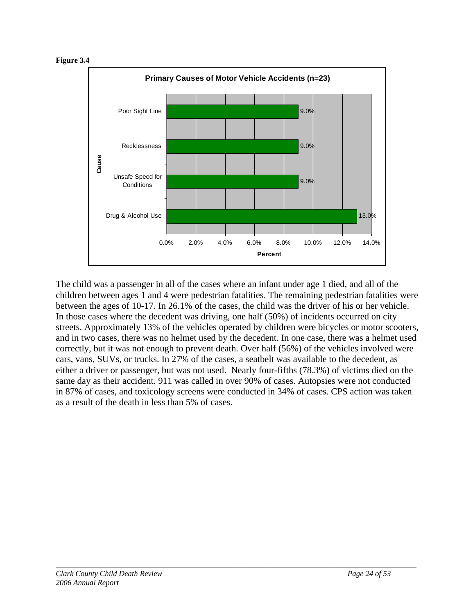



The child was a passenger in all of the cases where an infant under age 1 died, and all of the children between ages 1 and 4 were pedestrian fatalities. The remaining pedestrian fatalities were between the ages of 10-17. In 26.1% of the cases, the child was the driver of his or her vehicle. In those cases where the decedent was driving, one half (50%) of incidents occurred on city streets. Approximately 13% of the vehicles operated by children were bicycles or motor scooters, and in two cases, there was no helmet used by the decedent. In one case, there was a helmet used correctly, but it was not enough to prevent death. Over half (56%) of the vehicles involved were cars, vans, SUVs, or trucks. In 27% of the cases, a seatbelt was available to the decedent, as either a driver or passenger, but was not used. Nearly four-fifths (78.3%) of victims died on the same day as their accident. 911 was called in over 90% of cases. Autopsies were not conducted in 87% of cases, and toxicology screens were conducted in 34% of cases. CPS action was taken as a result of the death in less than 5% of cases.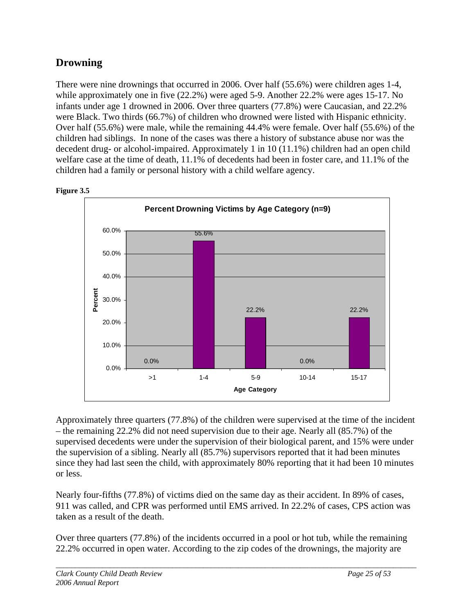### **Drowning**

There were nine drownings that occurred in 2006. Over half (55.6%) were children ages 1-4, while approximately one in five (22.2%) were aged 5-9. Another 22.2% were ages 15-17. No infants under age 1 drowned in 2006. Over three quarters (77.8%) were Caucasian, and 22.2% were Black. Two thirds (66.7%) of children who drowned were listed with Hispanic ethnicity. Over half (55.6%) were male, while the remaining 44.4% were female. Over half (55.6%) of the children had siblings. In none of the cases was there a history of substance abuse nor was the decedent drug- or alcohol-impaired. Approximately 1 in 10 (11.1%) children had an open child welfare case at the time of death, 11.1% of decedents had been in foster care, and 11.1% of the children had a family or personal history with a child welfare agency.



**Figure 3.5** 

Approximately three quarters (77.8%) of the children were supervised at the time of the incident – the remaining 22.2% did not need supervision due to their age. Nearly all (85.7%) of the supervised decedents were under the supervision of their biological parent, and 15% were under the supervision of a sibling. Nearly all (85.7%) supervisors reported that it had been minutes since they had last seen the child, with approximately 80% reporting that it had been 10 minutes or less.

Nearly four-fifths (77.8%) of victims died on the same day as their accident. In 89% of cases, 911 was called, and CPR was performed until EMS arrived. In 22.2% of cases, CPS action was taken as a result of the death.

Over three quarters (77.8%) of the incidents occurred in a pool or hot tub, while the remaining 22.2% occurred in open water. According to the zip codes of the drownings, the majority are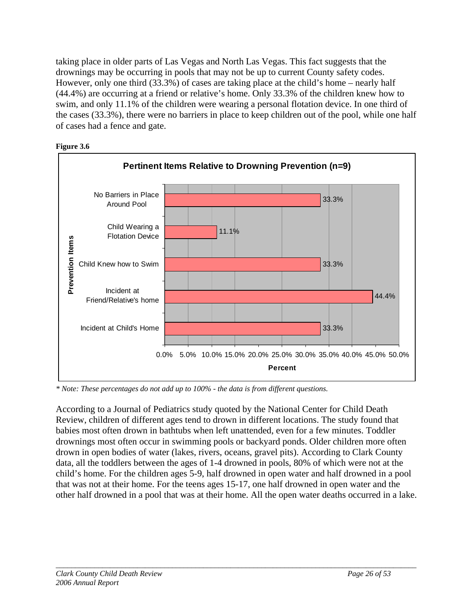taking place in older parts of Las Vegas and North Las Vegas. This fact suggests that the drownings may be occurring in pools that may not be up to current County safety codes. However, only one third (33.3%) of cases are taking place at the child's home – nearly half (44.4%) are occurring at a friend or relative's home. Only 33.3% of the children knew how to swim, and only 11.1% of the children were wearing a personal flotation device. In one third of the cases (33.3%), there were no barriers in place to keep children out of the pool, while one half of cases had a fence and gate.





*\* Note: These percentages do not add up to 100% - the data is from different questions.* 

According to a Journal of Pediatrics study quoted by the National Center for Child Death Review, children of different ages tend to drown in different locations. The study found that babies most often drown in bathtubs when left unattended, even for a few minutes. Toddler drownings most often occur in swimming pools or backyard ponds. Older children more often drown in open bodies of water (lakes, rivers, oceans, gravel pits). According to Clark County data, all the toddlers between the ages of 1-4 drowned in pools, 80% of which were not at the child's home. For the children ages 5-9, half drowned in open water and half drowned in a pool that was not at their home. For the teens ages 15-17, one half drowned in open water and the other half drowned in a pool that was at their home. All the open water deaths occurred in a lake.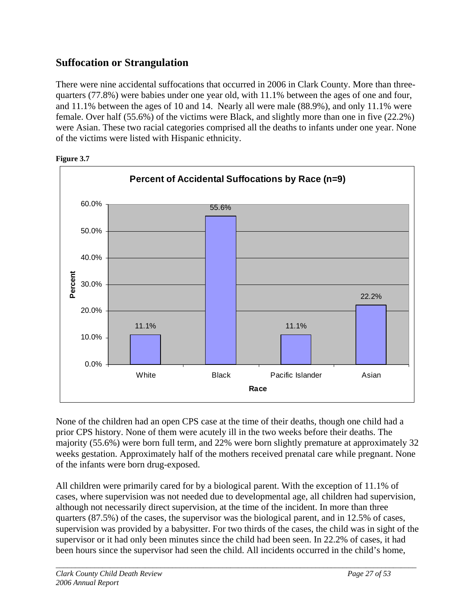### **Suffocation or Strangulation**

There were nine accidental suffocations that occurred in 2006 in Clark County. More than threequarters (77.8%) were babies under one year old, with 11.1% between the ages of one and four, and 11.1% between the ages of 10 and 14. Nearly all were male (88.9%), and only 11.1% were female. Over half (55.6%) of the victims were Black, and slightly more than one in five (22.2%) were Asian. These two racial categories comprised all the deaths to infants under one year. None of the victims were listed with Hispanic ethnicity.



**Figure 3.7** 

None of the children had an open CPS case at the time of their deaths, though one child had a prior CPS history. None of them were acutely ill in the two weeks before their deaths. The majority (55.6%) were born full term, and 22% were born slightly premature at approximately 32 weeks gestation. Approximately half of the mothers received prenatal care while pregnant. None of the infants were born drug-exposed.

All children were primarily cared for by a biological parent. With the exception of 11.1% of cases, where supervision was not needed due to developmental age, all children had supervision, although not necessarily direct supervision, at the time of the incident. In more than three quarters (87.5%) of the cases, the supervisor was the biological parent, and in 12.5% of cases, supervision was provided by a babysitter. For two thirds of the cases, the child was in sight of the supervisor or it had only been minutes since the child had been seen. In 22.2% of cases, it had been hours since the supervisor had seen the child. All incidents occurred in the child's home,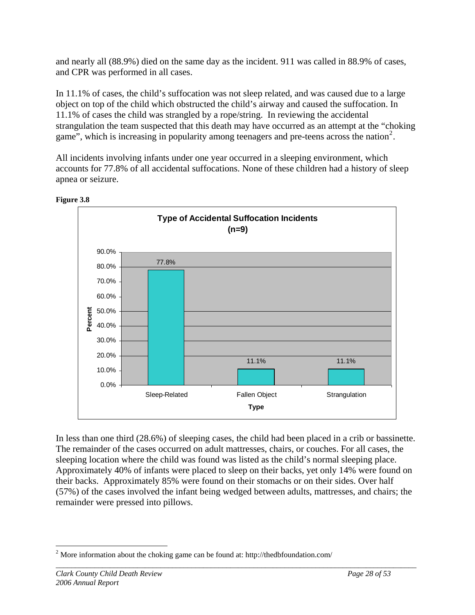and nearly all (88.9%) died on the same day as the incident. 911 was called in 88.9% of cases, and CPR was performed in all cases.

In 11.1% of cases, the child's suffocation was not sleep related, and was caused due to a large object on top of the child which obstructed the child's airway and caused the suffocation. In 11.1% of cases the child was strangled by a rope/string. In reviewing the accidental strangulation the team suspected that this death may have occurred as an attempt at the "choking game", which is increasing in popularity among teenagers and pre-teens across the nation<sup>[2](#page-28-0)</sup>.

All incidents involving infants under one year occurred in a sleeping environment, which accounts for 77.8% of all accidental suffocations. None of these children had a history of sleep apnea or seizure.



**Figure 3.8** 

In less than one third (28.6%) of sleeping cases, the child had been placed in a crib or bassinette. The remainder of the cases occurred on adult mattresses, chairs, or couches. For all cases, the sleeping location where the child was found was listed as the child's normal sleeping place. Approximately 40% of infants were placed to sleep on their backs, yet only 14% were found on their backs. Approximately 85% were found on their stomachs or on their sides. Over half (57%) of the cases involved the infant being wedged between adults, mattresses, and chairs; the remainder were pressed into pillows.

<span id="page-28-0"></span><sup>&</sup>lt;u>.</u> <sup>2</sup> More information about the choking game can be found at: http://thedbfoundation.com/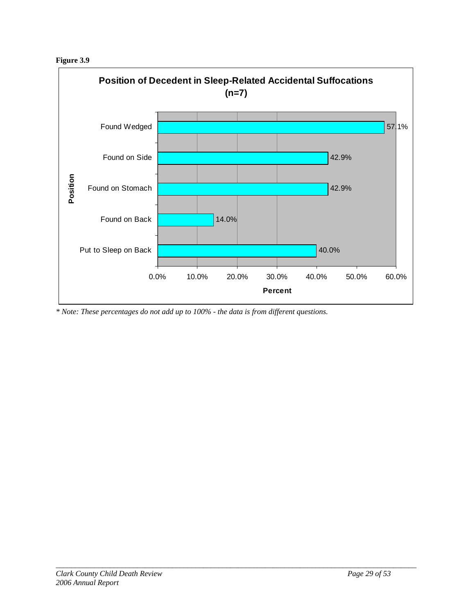**Figure 3.9** 



*\* Note: These percentages do not add up to 100% - the data is from different questions.*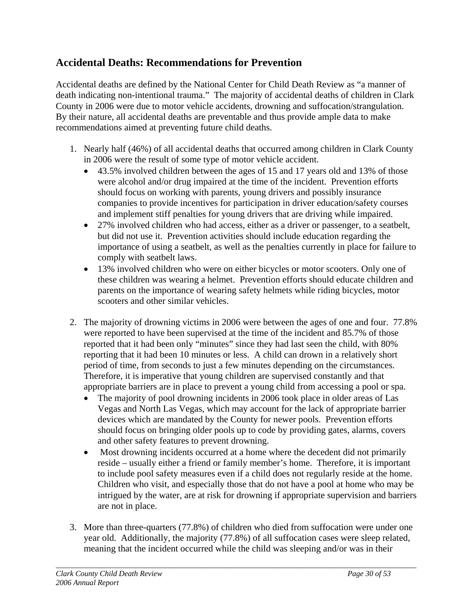### **Accidental Deaths: Recommendations for Prevention**

Accidental deaths are defined by the National Center for Child Death Review as "a manner of death indicating non-intentional trauma." The majority of accidental deaths of children in Clark County in 2006 were due to motor vehicle accidents, drowning and suffocation/strangulation. By their nature, all accidental deaths are preventable and thus provide ample data to make recommendations aimed at preventing future child deaths.

- 1. Nearly half (46%) of all accidental deaths that occurred among children in Clark County in 2006 were the result of some type of motor vehicle accident.
	- 43.5% involved children between the ages of 15 and 17 years old and 13% of those were alcohol and/or drug impaired at the time of the incident. Prevention efforts should focus on working with parents, young drivers and possibly insurance companies to provide incentives for participation in driver education/safety courses and implement stiff penalties for young drivers that are driving while impaired.
	- 27% involved children who had access, either as a driver or passenger, to a seatbelt, but did not use it. Prevention activities should include education regarding the importance of using a seatbelt, as well as the penalties currently in place for failure to comply with seatbelt laws.
	- 13% involved children who were on either bicycles or motor scooters. Only one of these children was wearing a helmet. Prevention efforts should educate children and parents on the importance of wearing safety helmets while riding bicycles, motor scooters and other similar vehicles.
- 2. The majority of drowning victims in 2006 were between the ages of one and four. 77.8% were reported to have been supervised at the time of the incident and 85.7% of those reported that it had been only "minutes" since they had last seen the child, with 80% reporting that it had been 10 minutes or less. A child can drown in a relatively short period of time, from seconds to just a few minutes depending on the circumstances. Therefore, it is imperative that young children are supervised constantly and that appropriate barriers are in place to prevent a young child from accessing a pool or spa.
	- The majority of pool drowning incidents in 2006 took place in older areas of Las Vegas and North Las Vegas, which may account for the lack of appropriate barrier devices which are mandated by the County for newer pools. Prevention efforts should focus on bringing older pools up to code by providing gates, alarms, covers and other safety features to prevent drowning.
	- Most drowning incidents occurred at a home where the decedent did not primarily reside – usually either a friend or family member's home. Therefore, it is important to include pool safety measures even if a child does not regularly reside at the home. Children who visit, and especially those that do not have a pool at home who may be intrigued by the water, are at risk for drowning if appropriate supervision and barriers are not in place.
- 3. More than three-quarters (77.8%) of children who died from suffocation were under one year old. Additionally, the majority (77.8%) of all suffocation cases were sleep related, meaning that the incident occurred while the child was sleeping and/or was in their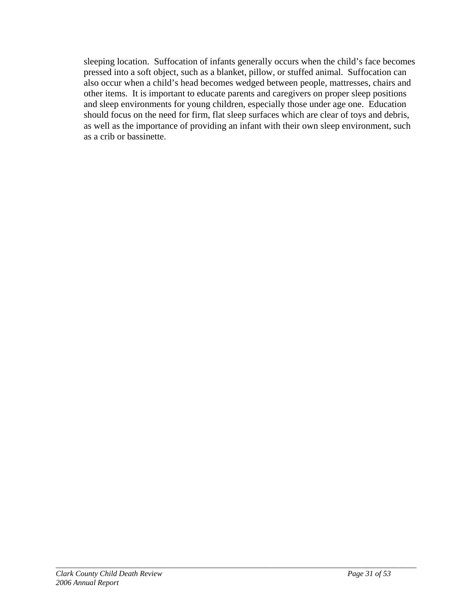sleeping location. Suffocation of infants generally occurs when the child's face becomes pressed into a soft object, such as a blanket, pillow, or stuffed animal. Suffocation can also occur when a child's head becomes wedged between people, mattresses, chairs and other items. It is important to educate parents and caregivers on proper sleep positions and sleep environments for young children, especially those under age one. Education should focus on the need for firm, flat sleep surfaces which are clear of toys and debris, as well as the importance of providing an infant with their own sleep environment, such as a crib or bassinette.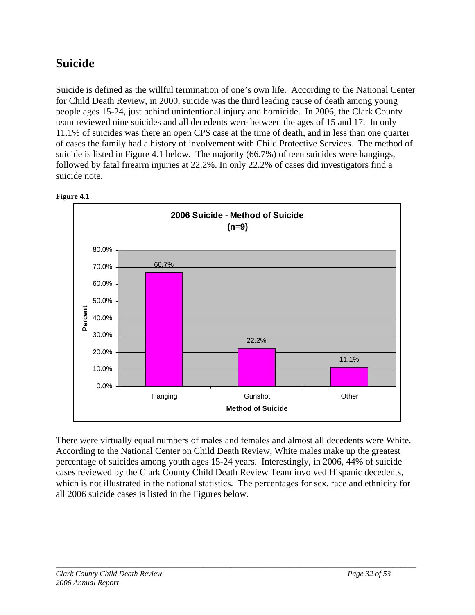# **Suicide**

Suicide is defined as the willful termination of one's own life. According to the National Center for Child Death Review, in 2000, suicide was the third leading cause of death among young people ages 15-24, just behind unintentional injury and homicide. In 2006, the Clark County team reviewed nine suicides and all decedents were between the ages of 15 and 17. In only 11.1% of suicides was there an open CPS case at the time of death, and in less than one quarter of cases the family had a history of involvement with Child Protective Services. The method of suicide is listed in Figure 4.1 below. The majority (66.7%) of teen suicides were hangings, followed by fatal firearm injuries at 22.2%. In only 22.2% of cases did investigators find a suicide note.



**Figure 4.1** 

There were virtually equal numbers of males and females and almost all decedents were White. According to the National Center on Child Death Review, White males make up the greatest percentage of suicides among youth ages 15-24 years. Interestingly, in 2006, 44% of suicide cases reviewed by the Clark County Child Death Review Team involved Hispanic decedents, which is not illustrated in the national statistics. The percentages for sex, race and ethnicity for all 2006 suicide cases is listed in the Figures below.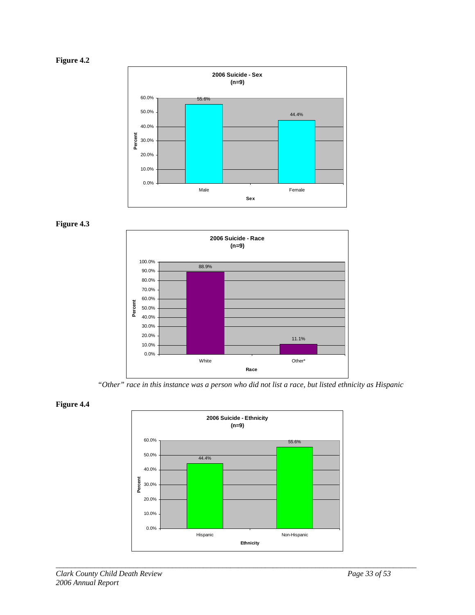







*"Other" race in this instance was a person who did not list a race, but listed ethnicity as Hispanic* 



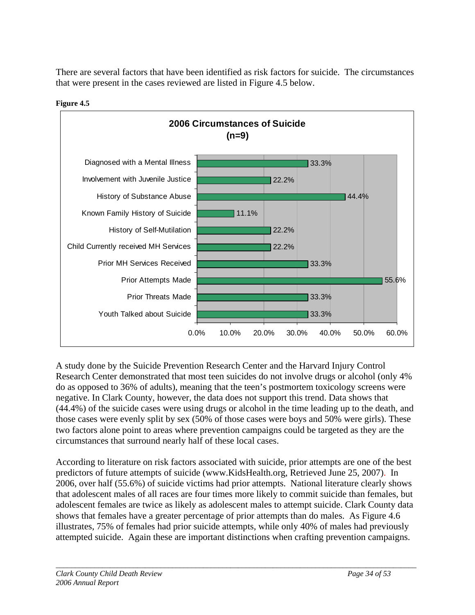There are several factors that have been identified as risk factors for suicide. The circumstances that were present in the cases reviewed are listed in Figure 4.5 below.



**Figure 4.5** 

A study done by the Suicide Prevention Research Center and the Harvard Injury Control Research Center demonstrated that most teen suicides do not involve drugs or alcohol (only 4% do as opposed to 36% of adults), meaning that the teen's postmortem toxicology screens were negative. In Clark County, however, the data does not support this trend. Data shows that (44.4%) of the suicide cases were using drugs or alcohol in the time leading up to the death, and those cases were evenly split by sex (50% of those cases were boys and 50% were girls). These two factors alone point to areas where prevention campaigns could be targeted as they are the circumstances that surround nearly half of these local cases.

According to literature on risk factors associated with suicide, prior attempts are one of the best predictors of future attempts of suicide (www.KidsHealth.org, Retrieved June 25, 2007). In 2006, over half (55.6%) of suicide victims had prior attempts. National literature clearly shows that adolescent males of all races are four times more likely to commit suicide than females, but adolescent females are twice as likely as adolescent males to attempt suicide. Clark County data shows that females have a greater percentage of prior attempts than do males. As Figure 4.6 illustrates, 75% of females had prior suicide attempts, while only 40% of males had previously attempted suicide. Again these are important distinctions when crafting prevention campaigns.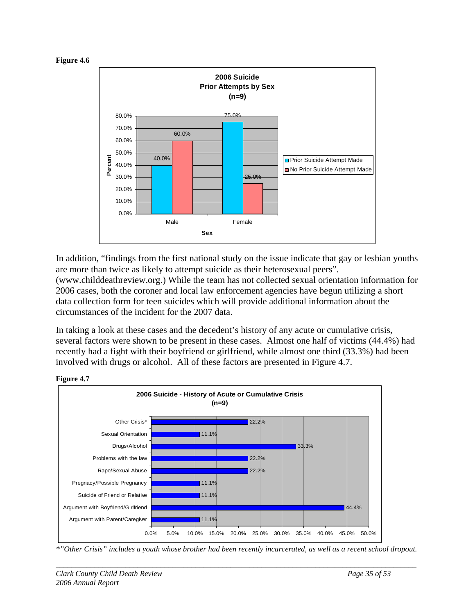



In addition, "findings from the first national study on the issue indicate that gay or lesbian youths are more than twice as likely to attempt suicide as their heterosexual peers". (www.childdeathreview.org.) While the team has not collected sexual orientation information for 2006 cases, both the coroner and local law enforcement agencies have begun utilizing a short data collection form for teen suicides which will provide additional information about the circumstances of the incident for the 2007 data.

In taking a look at these cases and the decedent's history of any acute or cumulative crisis, several factors were shown to be present in these cases. Almost one half of victims (44.4%) had recently had a fight with their boyfriend or girlfriend, while almost one third (33.3%) had been involved with drugs or alcohol. All of these factors are presented in Figure 4.7.



**Figure 4.7** 

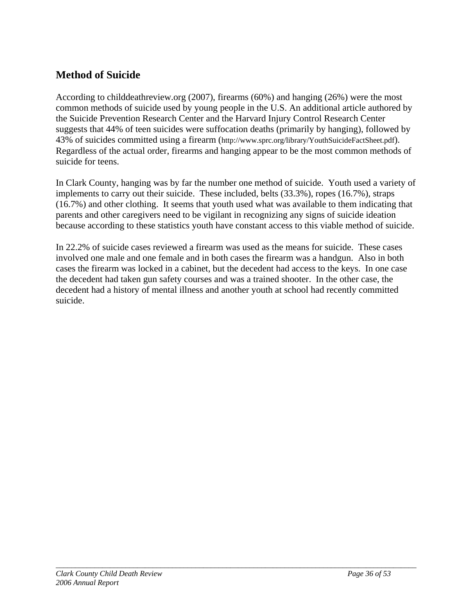### **Method of Suicide**

According to childdeathreview.org (2007), firearms (60%) and hanging (26%) were the most common methods of suicide used by young people in the U.S. An additional article authored by the Suicide Prevention Research Center and the Harvard Injury Control Research Center suggests that 44% of teen suicides were suffocation deaths (primarily by hanging), followed by 43% of suicides committed using a firearm (http://www.sprc.org/library/YouthSuicideFactSheet.pdf). Regardless of the actual order, firearms and hanging appear to be the most common methods of suicide for teens.

In Clark County, hanging was by far the number one method of suicide. Youth used a variety of implements to carry out their suicide. These included, belts (33.3%), ropes (16.7%), straps (16.7%) and other clothing. It seems that youth used what was available to them indicating that parents and other caregivers need to be vigilant in recognizing any signs of suicide ideation because according to these statistics youth have constant access to this viable method of suicide.

In 22.2% of suicide cases reviewed a firearm was used as the means for suicide. These cases involved one male and one female and in both cases the firearm was a handgun. Also in both cases the firearm was locked in a cabinet, but the decedent had access to the keys. In one case the decedent had taken gun safety courses and was a trained shooter. In the other case, the decedent had a history of mental illness and another youth at school had recently committed suicide.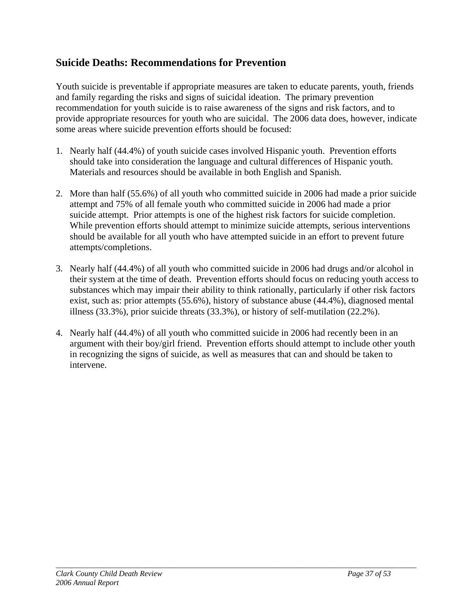### **Suicide Deaths: Recommendations for Prevention**

Youth suicide is preventable if appropriate measures are taken to educate parents, youth, friends and family regarding the risks and signs of suicidal ideation. The primary prevention recommendation for youth suicide is to raise awareness of the signs and risk factors, and to provide appropriate resources for youth who are suicidal. The 2006 data does, however, indicate some areas where suicide prevention efforts should be focused:

- 1. Nearly half (44.4%) of youth suicide cases involved Hispanic youth. Prevention efforts should take into consideration the language and cultural differences of Hispanic youth. Materials and resources should be available in both English and Spanish.
- 2. More than half (55.6%) of all youth who committed suicide in 2006 had made a prior suicide attempt and 75% of all female youth who committed suicide in 2006 had made a prior suicide attempt. Prior attempts is one of the highest risk factors for suicide completion. While prevention efforts should attempt to minimize suicide attempts, serious interventions should be available for all youth who have attempted suicide in an effort to prevent future attempts/completions.
- 3. Nearly half (44.4%) of all youth who committed suicide in 2006 had drugs and/or alcohol in their system at the time of death. Prevention efforts should focus on reducing youth access to substances which may impair their ability to think rationally, particularly if other risk factors exist, such as: prior attempts (55.6%), history of substance abuse (44.4%), diagnosed mental illness (33.3%), prior suicide threats (33.3%), or history of self-mutilation (22.2%).
- 4. Nearly half (44.4%) of all youth who committed suicide in 2006 had recently been in an argument with their boy/girl friend. Prevention efforts should attempt to include other youth in recognizing the signs of suicide, as well as measures that can and should be taken to intervene.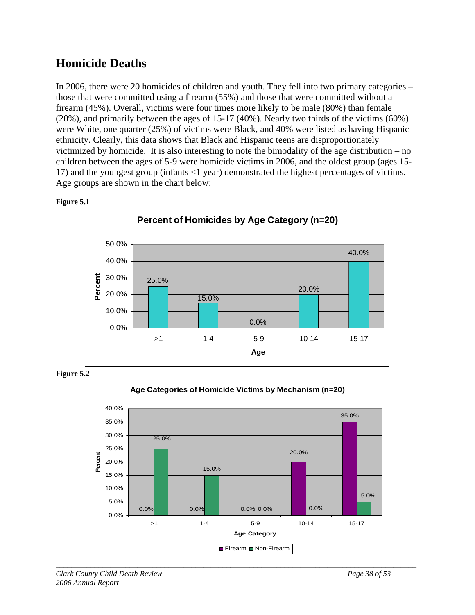# **Homicide Deaths**

In 2006, there were 20 homicides of children and youth. They fell into two primary categories – those that were committed using a firearm (55%) and those that were committed without a firearm (45%). Overall, victims were four times more likely to be male (80%) than female  $(20\%)$ , and primarily between the ages of 15-17 (40%). Nearly two thirds of the victims (60%) were White, one quarter (25%) of victims were Black, and 40% were listed as having Hispanic ethnicity. Clearly, this data shows that Black and Hispanic teens are disproportionately victimized by homicide. It is also interesting to note the bimodality of the age distribution – no children between the ages of 5-9 were homicide victims in 2006, and the oldest group (ages 15- 17) and the youngest group (infants <1 year) demonstrated the highest percentages of victims. Age groups are shown in the chart below:







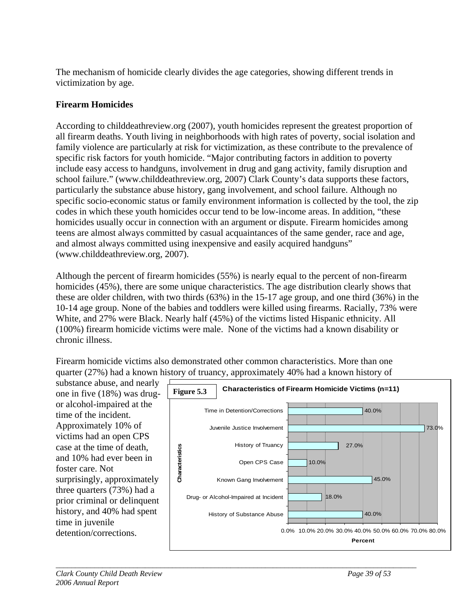The mechanism of homicide clearly divides the age categories, showing different trends in victimization by age.

### **Firearm Homicides**

According to childdeathreview.org (2007), youth homicides represent the greatest proportion of all firearm deaths. Youth living in neighborhoods with high rates of poverty, social isolation and family violence are particularly at risk for victimization, as these contribute to the prevalence of specific risk factors for youth homicide. "Major contributing factors in addition to poverty include easy access to handguns, involvement in drug and gang activity, family disruption and school failure." (www.childdeathreview.org, 2007) Clark County's data supports these factors, particularly the substance abuse history, gang involvement, and school failure. Although no specific socio-economic status or family environment information is collected by the tool, the zip codes in which these youth homicides occur tend to be low-income areas. In addition, "these homicides usually occur in connection with an argument or dispute. Firearm homicides among teens are almost always committed by casual acquaintances of the same gender, race and age, and almost always committed using inexpensive and easily acquired handguns" (www.childdeathreview.org, 2007).

Although the percent of firearm homicides (55%) is nearly equal to the percent of non-firearm homicides (45%), there are some unique characteristics. The age distribution clearly shows that these are older children, with two thirds (63%) in the 15-17 age group, and one third (36%) in the 10-14 age group. None of the babies and toddlers were killed using firearms. Racially, 73% were White, and 27% were Black. Nearly half (45%) of the victims listed Hispanic ethnicity. All (100%) firearm homicide victims were male. None of the victims had a known disability or chronic illness.

Firearm homicide victims also demonstrated other common characteristics. More than one quarter (27%) had a known h istory of truancy, approximately 40% had a known history of

substance abuse, an d nearly one in five (18%) was drug or alcohol-impaired at the time of the incident. Approximately 10% of victims had an open CPS case at the time of de ath, and 10% had ever been i n foster care. Not surprisingly, approximatel y three quarters (73%) had a prior criminal or delinquent history, and 40% had spent time in juvenile detention/corrections.

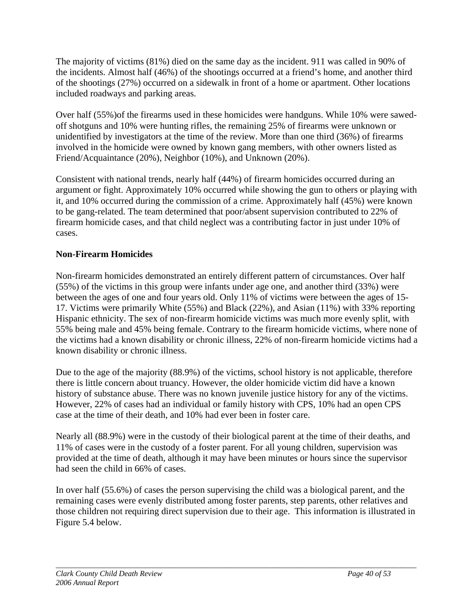The majority of victims (81%) died on the same day as the incident. 911 was called in 90% of the incidents. Almost half (46%) of the shootings occurred at a friend's home, and another third of the shootings (27%) occurred on a sidewalk in front of a home or apartment. Other locations included roadways and parking areas.

Over half (55%) of the firearms used in these homicides were handguns. While 10% were sawedoff shotguns and 10% were hunting rifles, the remaining 25% of firearms were unknown or unidentified by investigators at the time of the review. More than one third (36%) of firearms involved in the homicide were owned by known gang members, with other owners listed as Friend/Acquaintance (20%), Neighbor (10%), and Unknown (20%).

Consistent with national trends, nearly half (44%) of firearm homicides occurred during an argument or fight. Approximately 10% occurred while showing the gun to others or playing with it, and 10% occurred during the commission of a crime. Approximately half (45%) were known to be gang-related. The team determined that poor/absent supervision contributed to 22% of firearm homicide cases, and that child neglect was a contributing factor in just under 10% of cases.

### **Non-Firearm Homicides**

Non-firearm homicides demonstrated an entirely different pattern of circumstances. Over half 5%) of the victims in this group were infants under age one, and another third (33%) were (5 17. Victims were primarily White (55%) and Black (22%), and Asian (11%) with 33% reporting the victims had a known disability or chronic illness, 22% of non-firearm homicide victims had a between the ages of one and four years old. Only 11% of victims were between the ages of 15- Hispanic ethnicity. The sex of non-firearm homicide victims was much more evenly split, with 55% being male and 45% being female. Contrary to the firearm homicide victims, where none of known disability or chronic illness.

Due to the age of the majority (88.9%) of the victims, school history is not applicable, therefore there is little concern about truancy. However, the older homicide victim did have a known history of substance abuse. There was no known juvenile justice history for any of the victims. However, 22% of cases had an individual or family history with CPS, 10% had an open CPS case at the time of their death, and 10% had ever been in foster care.

Nearly all (88.9%) were in the custody of their biological parent at the time of their deaths, and 11% of cases were in the custody of a foster parent. For all young children, supervision was provided at the time of death, although it may have been minutes or hours since the supervisor had seen the child in 66% of cases.

In over half (55.6%) of cases the person supervising the child was a biological parent, and the remaining cases were evenly distributed among foster parents, step parents, other relatives and those children not requiring direct supervision due to their age. This information is illustrated in Figure 5.4 below.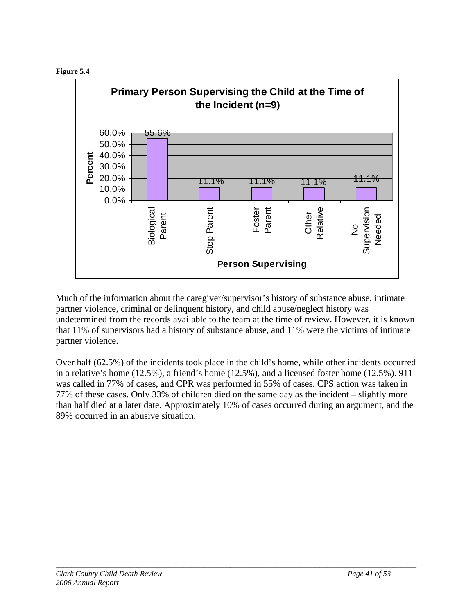



Much of the information about the caregiver/supervisor's history of substance abuse, intimate partner violence, criminal or delinquent history, and child abuse/neglect history was undetermined from the records available to the team at the time of review. However, it is known that 11% of supervisors had a history of substance abuse, and 11% were the victims of intimate partner violence.

Over half (62.5%) of the incidents took place in the child's home, while other incidents occurred in a relative's home  $(12.5\%)$ , a friend's home  $(12.5\%)$ , and a licensed foster home  $(12.5\%)$ . 911 was called in 77% of cases, and CPR was performed in 55% of cases. CPS action was taken in 77% of these cases. Only 33% of children died on the same day as the incident – slightly more than half died at a later date. Approximately 10% of cases occurred during an argument, and the 89% occurred in an abusive situation.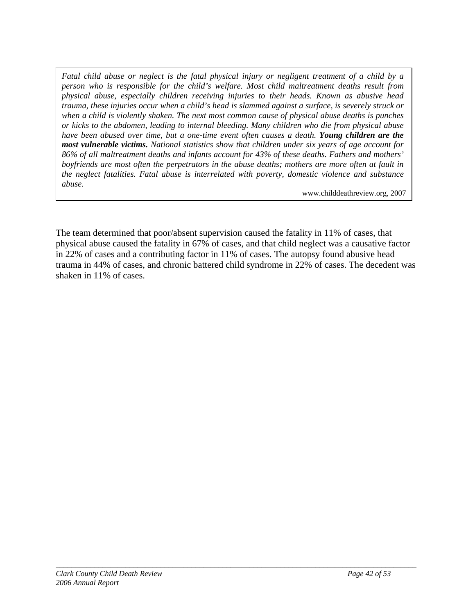*Fatal child abuse or neglect is the fatal physical injury or negligent treatment of a child by a person who is responsible for the child's welfare. Most child maltreatment deaths result from physical abuse, especially children receiving injuries to their heads. Known as abusive head trauma, these injuries occur when a child's head is slammed against a surface, is severely struck or when a child is violently shaken. The next most common cause of physical abuse deaths is punches or kicks to the abdomen, leading to internal bleeding. Many children who die from physical abuse have been abused over time, but a one-time event often causes a death. Young children are the most vulnerable victims. National statistics show that children under six years of age account for 86% of all maltreatment deaths and infants account for 43% of these deaths. Fathers and mothers' boyfriends are most often the perpetrators in the abuse deaths; mothers are more often at fault in the neglect fatalities. Fatal abuse is interrelated with poverty, domestic violence and substance abuse.* 

www.childdeathreview.org, 2007

The team determined that poor/absent supervision caused the fatality in 11% of cases, that physical abuse caused the fatality in 67% of cases, and that child neglect was a causative factor in 22% of cases and a contributing factor in 11% of cases. The autopsy found abusive head trauma in 44% of cases, and chronic battered child syndrome in 22% of cases. The decedent was shaken in 11% of cases.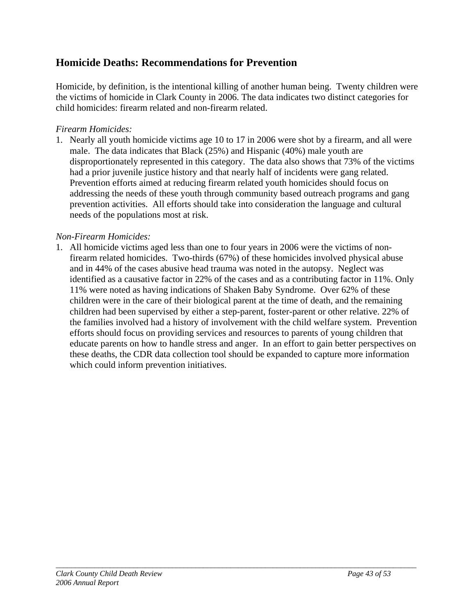### **Homicide Deaths: Recommendations for Prevention**

Homicide, by definition, is the intentional killing of another human being. Twenty children were the victims of homicide in Clark County in 2006. The data indicates two distinct categories for child homicides: firearm related and non-firearm related.

### *Firearm Homicides:*

1. Nearly all youth homicide victims age 10 to 17 in 2006 were shot by a firearm, and all were male. The data indicates that Black (25%) and Hispanic (40%) male youth are disproportionately represented in this category. The data also shows that 73% of the victims had a prior juvenile justice history and that nearly half of incidents were gang related. Prevention efforts aimed at reducing firearm related youth homicides should focus on addressing the needs of these youth through community based outreach programs and gang prevention activities. All efforts should take into consideration the language and cultural needs of the populations most at risk.

### *Non-Firearm Homicides:*

1. All homicide victims aged less than one to four years in 2006 were the victims of nonfirearm related homicides. Two-thirds (67%) of these homicides involved physical abuse and in 44% of the cases abusive head trauma was noted in the autopsy. Neglect was identified as a causative factor in 22% of the cases and as a contributing factor in 11%. Only 11% were noted as having indications of Shaken Baby Syndrome. Over 62% of these children were in the care of their biological parent at the time of death, and the remaining children had been supervised by either a step-parent, foster-parent or other relative. 22% of the families involved had a history of involvement with the child welfare system. Prevention efforts should focus on providing services and resources to parents of young children that educate parents on how to handle stress and anger. In an effort to gain better perspectives on these deaths, the CDR data collection tool should be expanded to capture more information which could inform prevention initiatives.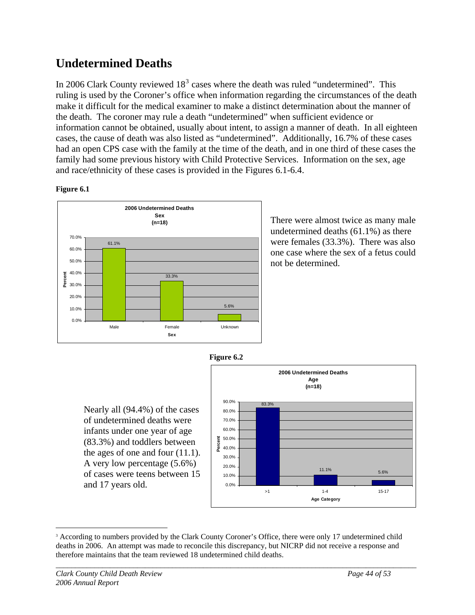## **Undetermined Deaths**

In 2006 Clark County reviewed  $18<sup>3</sup>$  $18<sup>3</sup>$  $18<sup>3</sup>$  cases where the death was ruled "undetermined". This ruling is used by the Coroner's office when information regarding the circumstances of the death make it difficult for the medical examiner to make a distinct determination about the manner of the death. The coroner may rule a death "undetermined" when sufficient evidence or information cannot be obtained, usually about intent, to assign a manner of death. In all eighteen cases, the cause of death was also listed as "undetermined". Additionally, 16.7% of these cases had an open CPS case with the family at the time of the death, and in one third of these cases the family had some previous history with Child Protective Services. Information on the sex, age and race/ethnicity of these cases is provided in the Figures 6.1-6.4.

#### **Figure 6.1**



There were almost twice as many male undetermined deaths (61.1%) as there were females (33.3%). There was also one case where the sex of a fetus could not be determined.



Nearly all (94.4%) of the cases of undetermined deaths were infants under one year of age (83.3%) and toddlers between the ages of one and four (11.1). A very low percentage (5.6%) of cases were teens between 15 and 17 years old.



<span id="page-44-0"></span><sup>&</sup>lt;sup>3</sup> According to numbers provided by the Clark County Coroner's Office, there were only 17 undetermined child deaths in 2006. An attempt was made to reconcile this discrepancy, but NICRP did not receive a response and therefore maintains that the team reviewed 18 undetermined child deaths.

*\_\_\_\_\_\_\_\_\_\_\_\_\_\_\_\_\_\_\_\_\_\_\_\_\_\_\_\_\_\_\_\_\_\_\_\_\_\_\_\_\_\_\_\_\_\_\_\_\_\_\_\_\_\_\_\_\_\_\_\_\_\_\_\_\_\_\_\_\_\_\_\_\_\_\_\_\_\_\_\_\_\_\_\_\_\_\_\_\_\_\_\_\_* 

 $\overline{a}$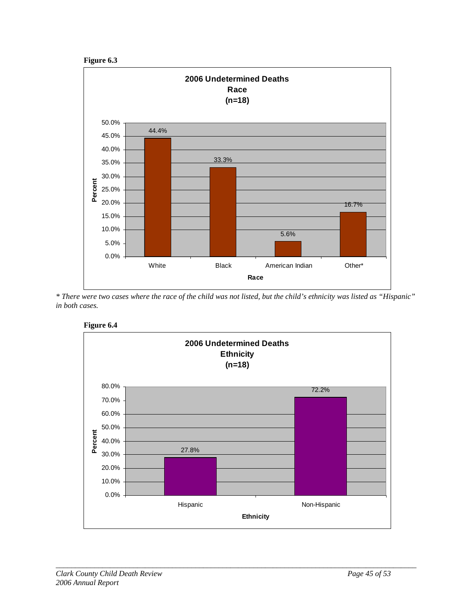



*\* There were two cases where the race of the child was not listed, but the child's ethnicity was listed as "Hispanic" in both cases.* 



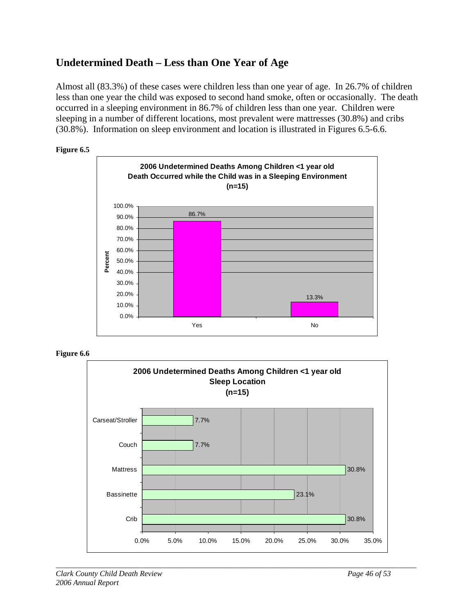### **Undetermined Death – Less than One Year of Age**

Almost all (83.3%) of these cases were children less than one year of age. In 26.7% of children less than one year the child was exposed to second hand smoke, often or occasionally. The death occurred in a sleeping environment in 86.7% of children less than one year. Children were sleeping in a number of different locations, most prevalent were mattresses (30.8%) and cribs (30.8%). Information on sleep environment and location is illustrated in Figures 6.5-6.6.







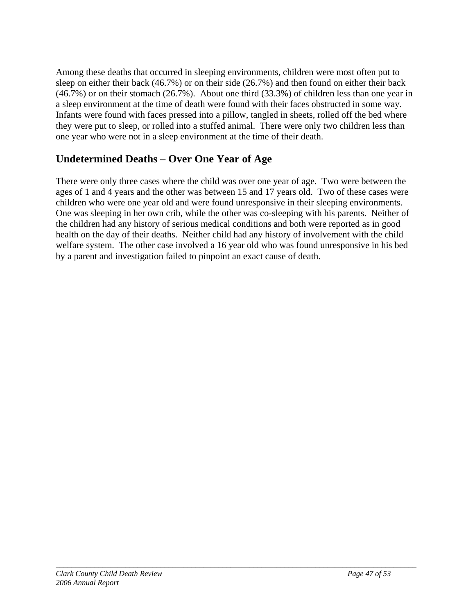Among these deaths that occurred in sleeping environments, children were most often put to sleep on either their back (46.7%) or on their side (26.7%) and then found on either their back (46.7%) or on their stomach (26.7%). About one third (33.3%) of children less than one year in a sleep environment at the time of death were found with their faces obstructed in some way. Infants were found with faces pressed into a pillow, tangled in sheets, rolled off the bed where they were put to sleep, or rolled into a stuffed animal. There were only two children less than one year who were not in a sleep environment at the time of their death.

### **Undetermined Deaths – Over One Year of Age**

There were only three cases where the child was over one year of age. Two were between the ages of 1 and 4 years and the other was between 15 and 17 years old. Two of these cases were children who were one year old and were found unresponsive in their sleeping environments. One was sleeping in her own crib, while the other was co-sleeping with his parents. Neither of the children had any history of serious medical conditions and both were reported as in good health on the day of their deaths. Neither child had any history of involvement with the child welfare system. The other case involved a 16 year old who was found unresponsive in his bed by a parent and investigation failed to pinpoint an exact cause of death.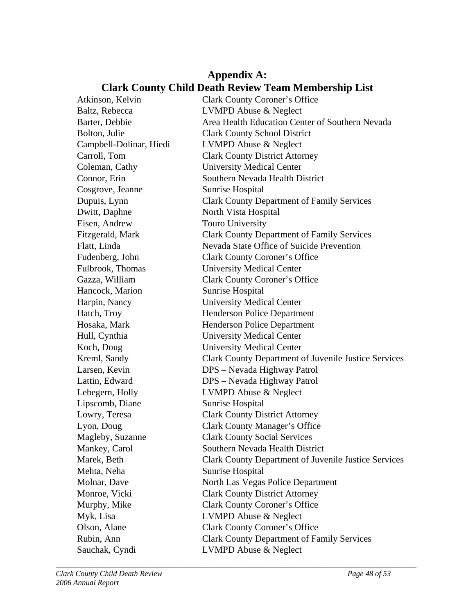### **Appendix A: Clark County Child Death Review Team Membership List**

| Atkinson, Kelvin        | <b>Clark County Coroner's Office</b>                        |
|-------------------------|-------------------------------------------------------------|
| Baltz, Rebecca          | <b>LVMPD Abuse &amp; Neglect</b>                            |
| Barter, Debbie          | Area Health Education Center of Southern Nevada             |
| Bolton, Julie           | <b>Clark County School District</b>                         |
| Campbell-Dolinar, Hiedi | <b>LVMPD Abuse &amp; Neglect</b>                            |
| Carroll, Tom            | <b>Clark County District Attorney</b>                       |
| Coleman, Cathy          | <b>University Medical Center</b>                            |
| Connor, Erin            | Southern Nevada Health District                             |
| Cosgrove, Jeanne        | Sunrise Hospital                                            |
| Dupuis, Lynn            | <b>Clark County Department of Family Services</b>           |
| Dwitt, Daphne           | North Vista Hospital                                        |
| Eisen, Andrew           | <b>Touro University</b>                                     |
| Fitzgerald, Mark        | <b>Clark County Department of Family Services</b>           |
| Flatt, Linda            | Nevada State Office of Suicide Prevention                   |
| Fudenberg, John         | <b>Clark County Coroner's Office</b>                        |
| Fulbrook, Thomas        | <b>University Medical Center</b>                            |
| Gazza, William          | <b>Clark County Coroner's Office</b>                        |
| Hancock, Marion         | Sunrise Hospital                                            |
| Harpin, Nancy           | <b>University Medical Center</b>                            |
| Hatch, Troy             | <b>Henderson Police Department</b>                          |
| Hosaka, Mark            | <b>Henderson Police Department</b>                          |
| Hull, Cynthia           | <b>University Medical Center</b>                            |
| Koch, Doug              | <b>University Medical Center</b>                            |
| Kreml, Sandy            | <b>Clark County Department of Juvenile Justice Services</b> |
| Larsen, Kevin           | DPS - Nevada Highway Patrol                                 |
| Lattin, Edward          | DPS - Nevada Highway Patrol                                 |
| Lebegern, Holly         | <b>LVMPD Abuse &amp; Neglect</b>                            |
| Lipscomb, Diane         | <b>Sunrise Hospital</b>                                     |
| Lowry, Teresa           | <b>Clark County District Attorney</b>                       |
| Lyon, Doug              | <b>Clark County Manager's Office</b>                        |
| Magleby, Suzanne        | <b>Clark County Social Services</b>                         |
| Mankey, Carol           | Southern Nevada Health District                             |
| Marek, Beth             | <b>Clark County Department of Juvenile Justice Services</b> |
| Mehta, Neha             | <b>Sunrise Hospital</b>                                     |
| Molnar, Dave            | North Las Vegas Police Department                           |
| Monroe, Vicki           | <b>Clark County District Attorney</b>                       |
| Murphy, Mike            | <b>Clark County Coroner's Office</b>                        |
| Myk, Lisa               | <b>LVMPD Abuse &amp; Neglect</b>                            |
| Olson, Alane            | <b>Clark County Coroner's Office</b>                        |
| Rubin, Ann              | <b>Clark County Department of Family Services</b>           |
| Sauchak, Cyndi          | <b>LVMPD Abuse &amp; Neglect</b>                            |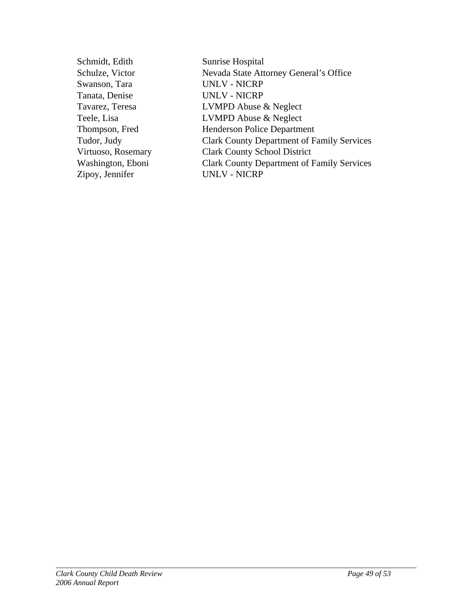| Schmidt, Edith     | Sunrise Hospital                                  |
|--------------------|---------------------------------------------------|
| Schulze, Victor    | Nevada State Attorney General's Office            |
| Swanson, Tara      | <b>UNLV - NICRP</b>                               |
| Tanata, Denise     | <b>UNLV - NICRP</b>                               |
| Tavarez, Teresa    | <b>LVMPD Abuse &amp; Neglect</b>                  |
| Teele, Lisa        | <b>LVMPD Abuse &amp; Neglect</b>                  |
| Thompson, Fred     | <b>Henderson Police Department</b>                |
| Tudor, Judy        | <b>Clark County Department of Family Services</b> |
| Virtuoso, Rosemary | <b>Clark County School District</b>               |
| Washington, Eboni  | <b>Clark County Department of Family Services</b> |
| Zipoy, Jennifer    | <b>UNLV - NICRP</b>                               |
|                    |                                                   |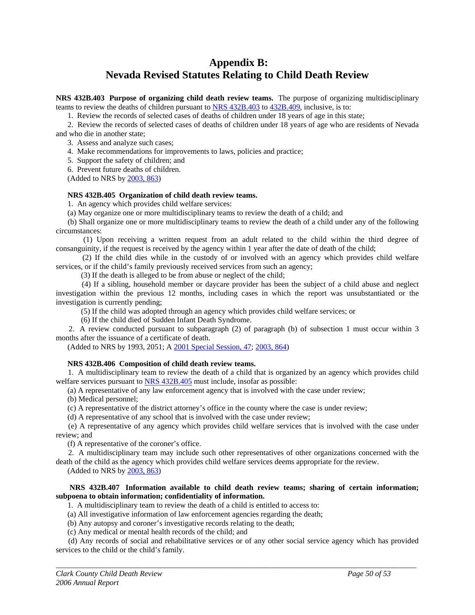### **Appendix B: Nevada Revised Statutes Relating to Child Death Review**

**NRS 432B.403 Purpose of organizing child death review teams.** The purpose of organizing multidisciplinary teams to review the deaths of children pursuant to [NRS 432B.403](http://www.leg.state.nv.us/NRS/NRS-432B.html#NRS432BSec403) to [432B.409](http://www.leg.state.nv.us/NRS/NRS-432B.html#NRS432BSec409), inclusive, is to:

1. Review the records of selected cases of deaths of children under 18 years of age in this state;

 2. Review the records of selected cases of deaths of children under 18 years of age who are residents of Nevada and who die in another state;

3. Assess and analyze such cases;

4. Make recommendations for improvements to laws, policies and practice;

5. Support the safety of children; and

6. Prevent future deaths of children.

(Added to NRS by [2003, 863](http://www.leg.state.nv.us/Statutes/72nd/Stats200307.html#Stats200307page863))

#### **NRS 432B.405 Organization of child death review teams.**

1. An agency which provides child welfare services:

(a) May organize one or more multidisciplinary teams to review the death of a child; and

 (b) Shall organize one or more multidisciplinary teams to review the death of a child under any of the following circumstances:

 (1) Upon receiving a written request from an adult related to the child within the third degree of consanguinity, if the request is received by the agency within 1 year after the date of death of the child;

 (2) If the child dies while in the custody of or involved with an agency which provides child welfare services, or if the child's family previously received services from such an agency;

(3) If the death is alleged to be from abuse or neglect of the child;

 (4) If a sibling, household member or daycare provider has been the subject of a child abuse and neglect investigation within the previous 12 months, including cases in which the report was unsubstantiated or the investigation is currently pending;

(5) If the child was adopted through an agency which provides child welfare services; or

(6) If the child died of Sudden Infant Death Syndrome.

 2. A review conducted pursuant to subparagraph (2) of paragraph (b) of subsection 1 must occur within 3 months after the issuance of a certificate of death.

(Added to NRS by 1993, 2051; A [2001 Special Session, 47](http://www.leg.state.nv.us/Statutes/17thSS/Stats2001SS01.html#Stats2001SS01page47); [2003, 864\)](http://www.leg.state.nv.us/Statutes/72nd/Stats200307.html#Stats200307page864)

#### **NRS 432B.406 Composition of child death review teams.**

 1. A multidisciplinary team to review the death of a child that is organized by an agency which provides child welfare services pursuant to [NRS 432B.405](http://www.leg.state.nv.us/NRS/NRS-432B.html#NRS432BSec405) must include, insofar as possible:

(a) A representative of any law enforcement agency that is involved with the case under review;

(b) Medical personnel;

(c) A representative of the district attorney's office in the county where the case is under review;

(d) A representative of any school that is involved with the case under review;

 (e) A representative of any agency which provides child welfare services that is involved with the case under review; and

(f) A representative of the coroner's office.

 2. A multidisciplinary team may include such other representatives of other organizations concerned with the death of the child as the agency which provides child welfare services deems appropriate for the review.

(Added to NRS by [2003, 863](http://www.leg.state.nv.us/Statutes/72nd/Stats200307.html#Stats200307page863))

#### **NRS 432B.407 Information available to child death review teams; sharing of certain information; subpoena to obtain information; confidentiality of information.**

1. A multidisciplinary team to review the death of a child is entitled to access to:

(a) All investigative information of law enforcement agencies regarding the death;

(b) Any autopsy and coroner's investigative records relating to the death;

(c) Any medical or mental health records of the child; and

 (d) Any records of social and rehabilitative services or of any other social service agency which has provided services to the child or the child's family.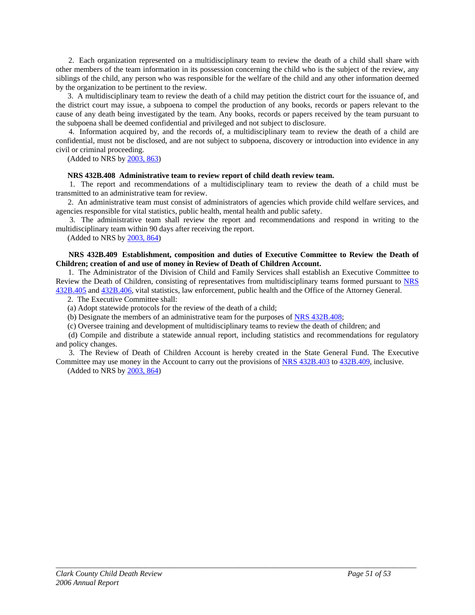2. Each organization represented on a multidisciplinary team to review the death of a child shall share with other members of the team information in its possession concerning the child who is the subject of the review, any siblings of the child, any person who was responsible for the welfare of the child and any other information deemed by the organization to be pertinent to the review.

 3. A multidisciplinary team to review the death of a child may petition the district court for the issuance of, and the district court may issue, a subpoena to compel the production of any books, records or papers relevant to the cause of any death being investigated by the team. Any books, records or papers received by the team pursuant to the subpoena shall be deemed confidential and privileged and not subject to disclosure.

 4. Information acquired by, and the records of, a multidisciplinary team to review the death of a child are confidential, must not be disclosed, and are not subject to subpoena, discovery or introduction into evidence in any civil or criminal proceeding.

(Added to NRS by [2003, 863](http://www.leg.state.nv.us/Statutes/72nd/Stats200307.html#Stats200307page863))

#### **NRS 432B.408 Administrative team to review report of child death review team.**

 1. The report and recommendations of a multidisciplinary team to review the death of a child must be transmitted to an administrative team for review.

 2. An administrative team must consist of administrators of agencies which provide child welfare services, and agencies responsible for vital statistics, public health, mental health and public safety.

 3. The administrative team shall review the report and recommendations and respond in writing to the multidisciplinary team within 90 days after receiving the report.

(Added to NRS by [2003, 864](http://www.leg.state.nv.us/Statutes/72nd/Stats200307.html#Stats200307page864))

#### **NRS 432B.409 Establishment, composition and duties of Executive Committee to Review the Death of Children; creation of and use of money in Review of Death of Children Account.**

 1. The Administrator of the Division of Child and Family Services shall establish an Executive Committee to Review the Death of Children, consisting of representatives from multidisciplinary teams formed pursuant to NRS [432B.405](http://www.leg.state.nv.us/NRS/NRS-432B.html#NRS432BSec405) and [432B.406,](http://www.leg.state.nv.us/NRS/NRS-432B.html#NRS432BSec406) vital statistics, law enforcement, public health and the Office of the Attorney General.

2. The Executive Committee shall:

(a) Adopt statewide protocols for the review of the death of a child;

(b) Designate the members of an administrative team for the purposes of [NRS 432B.408;](http://www.leg.state.nv.us/NRS/NRS-432B.html#NRS432BSec408)

(c) Oversee training and development of multidisciplinary teams to review the death of children; and

 (d) Compile and distribute a statewide annual report, including statistics and recommendations for regulatory and policy changes.

 3. The Review of Death of Children Account is hereby created in the State General Fund. The Executive Committee may use money in the Account to carry out the provisions of [NRS 432B.403](http://www.leg.state.nv.us/NRS/NRS-432B.html#NRS432BSec403) to [432B.409](http://www.leg.state.nv.us/NRS/NRS-432B.html#NRS432BSec409), inclusive.

*\_\_\_\_\_\_\_\_\_\_\_\_\_\_\_\_\_\_\_\_\_\_\_\_\_\_\_\_\_\_\_\_\_\_\_\_\_\_\_\_\_\_\_\_\_\_\_\_\_\_\_\_\_\_\_\_\_\_\_\_\_\_\_\_\_\_\_\_\_\_\_\_\_\_\_\_\_\_\_\_\_\_\_\_\_\_\_\_\_\_\_\_\_* 

(Added to NRS by [2003, 864](http://www.leg.state.nv.us/Statutes/72nd/Stats200307.html#Stats200307page864))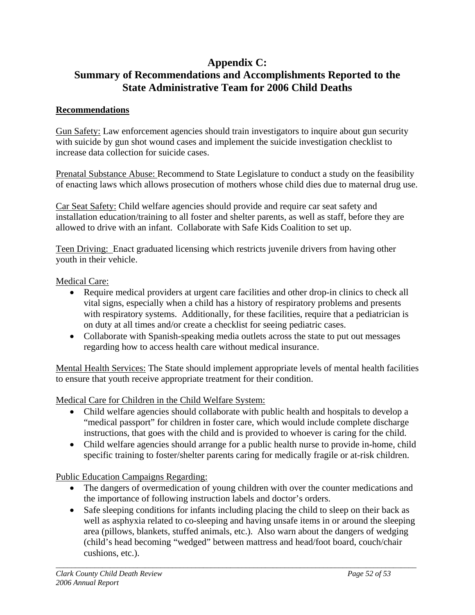### **Appendix C: Summary of Recommendations and Accomplishments Reported to the State Administrative Team for 2006 Child Deaths**

### **Recommendations**

Gun Safety: Law enforcement agencies should train investigators to inquire about gun security with suicide by gun shot wound cases and implement the suicide investigation checklist to increase data collection for suicide cases.

Prenatal Substance Abuse: Recommend to State Legislature to conduct a study on the feasibility of enacting laws which allows prosecution of mothers whose child dies due to maternal drug use.

Car Seat Safety: Child welfare agencies should provide and require car seat safety and installation education/training to all foster and shelter parents, as well as staff, before they are allowed to drive with an infant. Collaborate with Safe Kids Coalition to set up.

Teen Driving: Enact graduated licensing which restricts juvenile drivers from having other youth in their vehicle.

#### Medical Care:

- Require medical providers at urgent care facilities and other drop-in clinics to check all vital signs, especially when a child has a history of respiratory problems and presents with respiratory systems. Additionally, for these facilities, require that a pediatrician is on duty at all times and/or create a checklist for seeing pediatric cases.
- Collaborate with Spanish-speaking media outlets across the state to put out messages regarding how to access health care without medical insurance.

Mental Health Services: The State should implement appropriate levels of mental health facilities to ensure that youth receive appropriate treatment for their condition.

Medical Care for Children in the Child Welfare System:

- Child welfare agencies should collaborate with public health and hospitals to develop a "medical passport" for children in foster care, which would include complete discharge instructions, that goes with the child and is provided to whoever is caring for the child.
- Child welfare agencies should arrange for a public health nurse to provide in-home, child specific training to foster/shelter parents caring for medically fragile or at-risk children.

Public Education Campaigns Regarding:

- The dangers of overmedication of young children with over the counter medications and the importance of following instruction labels and doctor's orders.
- Safe sleeping conditions for infants including placing the child to sleep on their back as well as asphyxia related to co-sleeping and having unsafe items in or around the sleeping area (pillows, blankets, stuffed animals, etc.). Also warn about the dangers of wedging (child's head becoming "wedged" between mattress and head/foot board, couch/chair cushions, etc.).